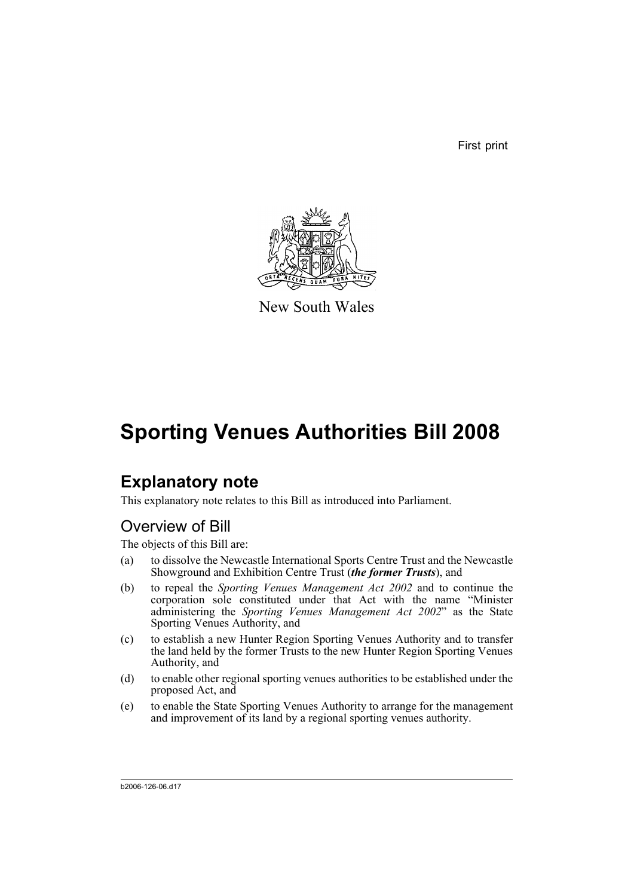First print



New South Wales

# **Sporting Venues Authorities Bill 2008**

## **Explanatory note**

This explanatory note relates to this Bill as introduced into Parliament.

## Overview of Bill

The objects of this Bill are:

- (a) to dissolve the Newcastle International Sports Centre Trust and the Newcastle Showground and Exhibition Centre Trust (*the former Trusts*), and
- (b) to repeal the *Sporting Venues Management Act 2002* and to continue the corporation sole constituted under that Act with the name "Minister administering the *Sporting Venues Management Act 2002*" as the State Sporting Venues Authority, and
- (c) to establish a new Hunter Region Sporting Venues Authority and to transfer the land held by the former Trusts to the new Hunter Region Sporting Venues Authority, and
- (d) to enable other regional sporting venues authorities to be established under the proposed Act, and
- (e) to enable the State Sporting Venues Authority to arrange for the management and improvement of its land by a regional sporting venues authority.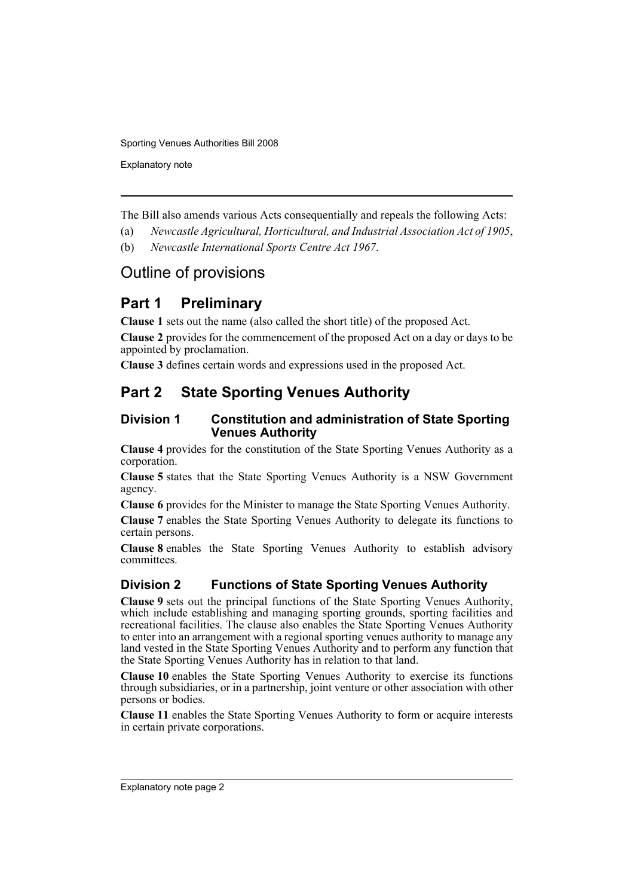Explanatory note

The Bill also amends various Acts consequentially and repeals the following Acts:

- (a) *Newcastle Agricultural, Horticultural, and Industrial Association Act of 1905*,
- (b) *Newcastle International Sports Centre Act 1967*.

## Outline of provisions

## **Part 1 Preliminary**

**Clause 1** sets out the name (also called the short title) of the proposed Act.

**Clause 2** provides for the commencement of the proposed Act on a day or days to be appointed by proclamation.

**Clause 3** defines certain words and expressions used in the proposed Act.

## **Part 2 State Sporting Venues Authority**

### **Division 1 Constitution and administration of State Sporting Venues Authority**

**Clause 4** provides for the constitution of the State Sporting Venues Authority as a corporation.

**Clause 5** states that the State Sporting Venues Authority is a NSW Government agency.

**Clause 6** provides for the Minister to manage the State Sporting Venues Authority.

**Clause 7** enables the State Sporting Venues Authority to delegate its functions to certain persons.

**Clause 8** enables the State Sporting Venues Authority to establish advisory committees.

## **Division 2 Functions of State Sporting Venues Authority**

**Clause 9** sets out the principal functions of the State Sporting Venues Authority, which include establishing and managing sporting grounds, sporting facilities and recreational facilities. The clause also enables the State Sporting Venues Authority to enter into an arrangement with a regional sporting venues authority to manage any land vested in the State Sporting Venues Authority and to perform any function that the State Sporting Venues Authority has in relation to that land.

**Clause 10** enables the State Sporting Venues Authority to exercise its functions through subsidiaries, or in a partnership, joint venture or other association with other persons or bodies.

**Clause 11** enables the State Sporting Venues Authority to form or acquire interests in certain private corporations.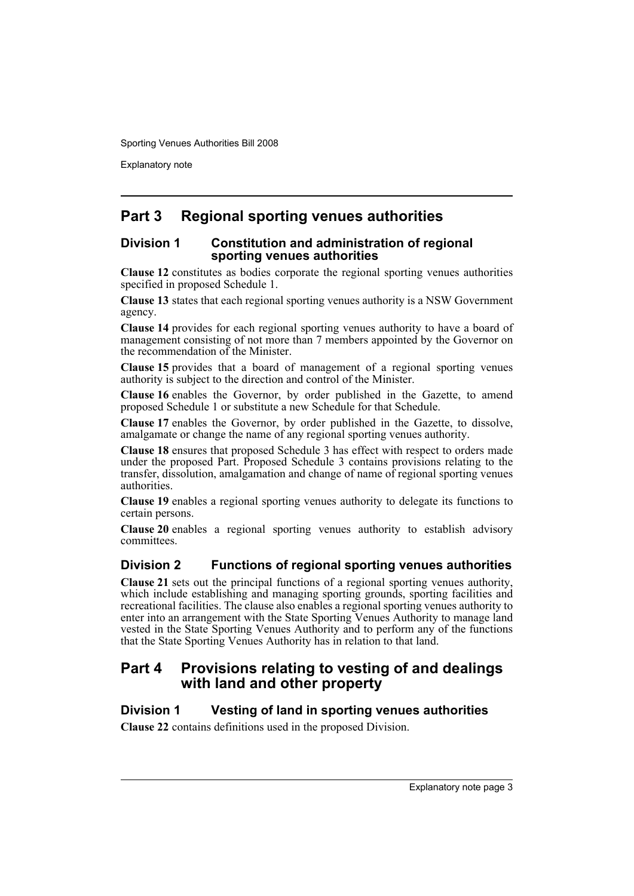Explanatory note

## **Part 3 Regional sporting venues authorities**

#### **Division 1 Constitution and administration of regional sporting venues authorities**

**Clause 12** constitutes as bodies corporate the regional sporting venues authorities specified in proposed Schedule 1.

**Clause 13** states that each regional sporting venues authority is a NSW Government agency.

**Clause 14** provides for each regional sporting venues authority to have a board of management consisting of not more than 7 members appointed by the Governor on the recommendation of the Minister.

**Clause 15** provides that a board of management of a regional sporting venues authority is subject to the direction and control of the Minister.

**Clause 16** enables the Governor, by order published in the Gazette, to amend proposed Schedule 1 or substitute a new Schedule for that Schedule.

**Clause 17** enables the Governor, by order published in the Gazette, to dissolve, amalgamate or change the name of any regional sporting venues authority.

**Clause 18** ensures that proposed Schedule 3 has effect with respect to orders made under the proposed Part. Proposed Schedule 3 contains provisions relating to the transfer, dissolution, amalgamation and change of name of regional sporting venues authorities.

**Clause 19** enables a regional sporting venues authority to delegate its functions to certain persons.

**Clause 20** enables a regional sporting venues authority to establish advisory committees.

### **Division 2 Functions of regional sporting venues authorities**

**Clause 21** sets out the principal functions of a regional sporting venues authority, which include establishing and managing sporting grounds, sporting facilities and recreational facilities. The clause also enables a regional sporting venues authority to enter into an arrangement with the State Sporting Venues Authority to manage land vested in the State Sporting Venues Authority and to perform any of the functions that the State Sporting Venues Authority has in relation to that land.

## **Part 4 Provisions relating to vesting of and dealings with land and other property**

### **Division 1 Vesting of land in sporting venues authorities**

**Clause 22** contains definitions used in the proposed Division.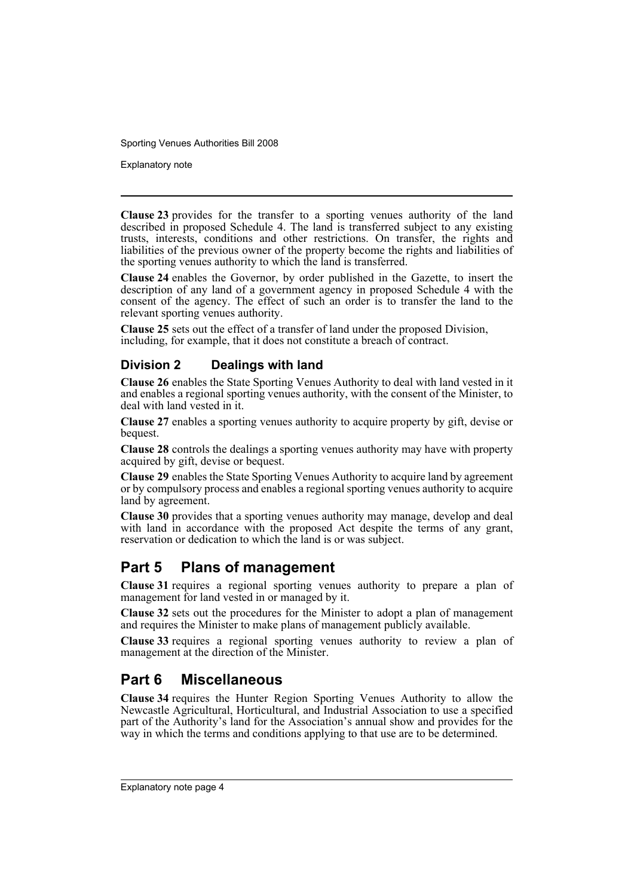Explanatory note

**Clause 23** provides for the transfer to a sporting venues authority of the land described in proposed Schedule 4. The land is transferred subject to any existing trusts, interests, conditions and other restrictions. On transfer, the rights and liabilities of the previous owner of the property become the rights and liabilities of the sporting venues authority to which the land is transferred.

**Clause 24** enables the Governor, by order published in the Gazette, to insert the description of any land of a government agency in proposed Schedule 4 with the consent of the agency. The effect of such an order is to transfer the land to the relevant sporting venues authority.

**Clause 25** sets out the effect of a transfer of land under the proposed Division, including, for example, that it does not constitute a breach of contract.

## **Division 2 Dealings with land**

**Clause 26** enables the State Sporting Venues Authority to deal with land vested in it and enables a regional sporting venues authority, with the consent of the Minister, to deal with land vested in it.

**Clause 27** enables a sporting venues authority to acquire property by gift, devise or bequest.

**Clause 28** controls the dealings a sporting venues authority may have with property acquired by gift, devise or bequest.

**Clause 29** enables the State Sporting Venues Authority to acquire land by agreement or by compulsory process and enables a regional sporting venues authority to acquire land by agreement.

**Clause 30** provides that a sporting venues authority may manage, develop and deal with land in accordance with the proposed Act despite the terms of any grant, reservation or dedication to which the land is or was subject.

## **Part 5 Plans of management**

**Clause 31** requires a regional sporting venues authority to prepare a plan of management for land vested in or managed by it.

**Clause 32** sets out the procedures for the Minister to adopt a plan of management and requires the Minister to make plans of management publicly available.

**Clause 33** requires a regional sporting venues authority to review a plan of management at the direction of the Minister.

## **Part 6 Miscellaneous**

**Clause 34** requires the Hunter Region Sporting Venues Authority to allow the Newcastle Agricultural, Horticultural, and Industrial Association to use a specified part of the Authority's land for the Association's annual show and provides for the way in which the terms and conditions applying to that use are to be determined.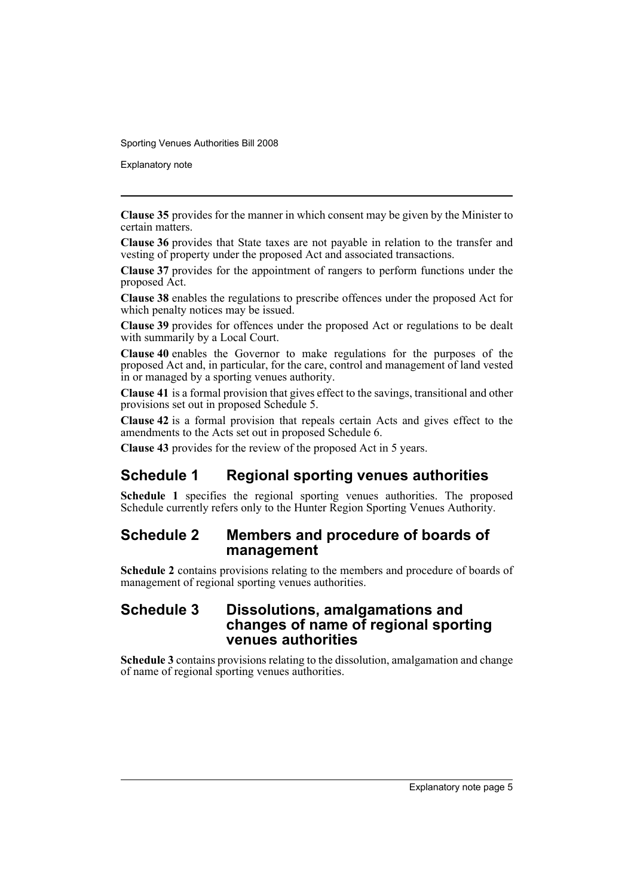Explanatory note

**Clause 35** provides for the manner in which consent may be given by the Minister to certain matters.

**Clause 36** provides that State taxes are not payable in relation to the transfer and vesting of property under the proposed Act and associated transactions.

**Clause 37** provides for the appointment of rangers to perform functions under the proposed Act.

**Clause 38** enables the regulations to prescribe offences under the proposed Act for which penalty notices may be issued.

**Clause 39** provides for offences under the proposed Act or regulations to be dealt with summarily by a Local Court.

**Clause 40** enables the Governor to make regulations for the purposes of the proposed Act and, in particular, for the care, control and management of land vested in or managed by a sporting venues authority.

**Clause 41** is a formal provision that gives effect to the savings, transitional and other provisions set out in proposed Schedule 5.

**Clause 42** is a formal provision that repeals certain Acts and gives effect to the amendments to the Acts set out in proposed Schedule 6.

**Clause 43** provides for the review of the proposed Act in 5 years.

## **Schedule 1 Regional sporting venues authorities**

**Schedule 1** specifies the regional sporting venues authorities. The proposed Schedule currently refers only to the Hunter Region Sporting Venues Authority.

## **Schedule 2 Members and procedure of boards of management**

**Schedule 2** contains provisions relating to the members and procedure of boards of management of regional sporting venues authorities.

## **Schedule 3 Dissolutions, amalgamations and changes of name of regional sporting venues authorities**

**Schedule 3** contains provisions relating to the dissolution, amalgamation and change of name of regional sporting venues authorities.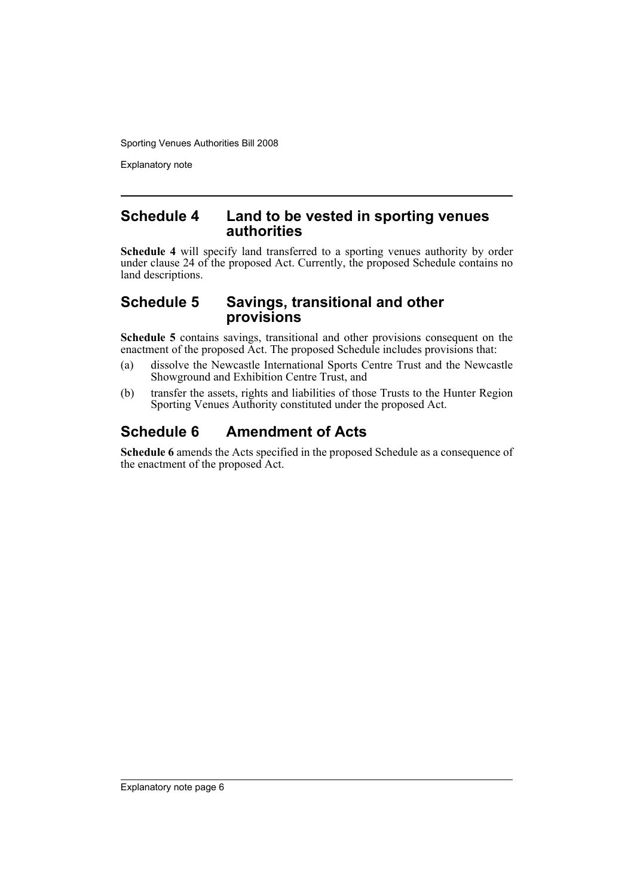Explanatory note

## **Schedule 4 Land to be vested in sporting venues authorities**

**Schedule 4** will specify land transferred to a sporting venues authority by order under clause 24 of the proposed Act. Currently, the proposed Schedule contains no land descriptions.

## **Schedule 5 Savings, transitional and other provisions**

**Schedule 5** contains savings, transitional and other provisions consequent on the enactment of the proposed Act. The proposed Schedule includes provisions that:

- (a) dissolve the Newcastle International Sports Centre Trust and the Newcastle Showground and Exhibition Centre Trust, and
- (b) transfer the assets, rights and liabilities of those Trusts to the Hunter Region Sporting Venues Authority constituted under the proposed Act.

## **Schedule 6 Amendment of Acts**

**Schedule 6** amends the Acts specified in the proposed Schedule as a consequence of the enactment of the proposed Act.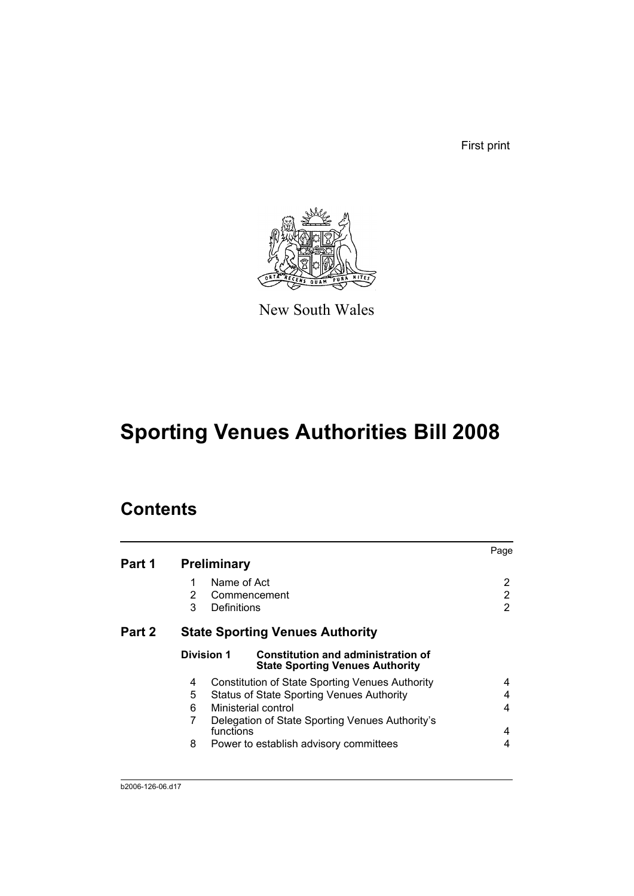First print



New South Wales

# **Sporting Venues Authorities Bill 2008**

## **Contents**

|        |                                                                                                   | Page |
|--------|---------------------------------------------------------------------------------------------------|------|
| Part 1 | <b>Preliminary</b>                                                                                |      |
|        | Name of Act<br>1                                                                                  | 2    |
|        | 2<br>Commencement                                                                                 | 2    |
|        | 3<br>Definitions                                                                                  | 2    |
| Part 2 | <b>State Sporting Venues Authority</b>                                                            |      |
|        | Division 1<br><b>Constitution and administration of</b><br><b>State Sporting Venues Authority</b> |      |
|        | <b>Constitution of State Sporting Venues Authority</b><br>4                                       | 4    |
|        | 5<br><b>Status of State Sporting Venues Authority</b>                                             | 4    |
|        | 6<br>Ministerial control                                                                          | 4    |
|        | 7<br>Delegation of State Sporting Venues Authority's                                              |      |
|        | functions                                                                                         | 4    |
|        | 8<br>Power to establish advisory committees                                                       | 4    |
|        |                                                                                                   |      |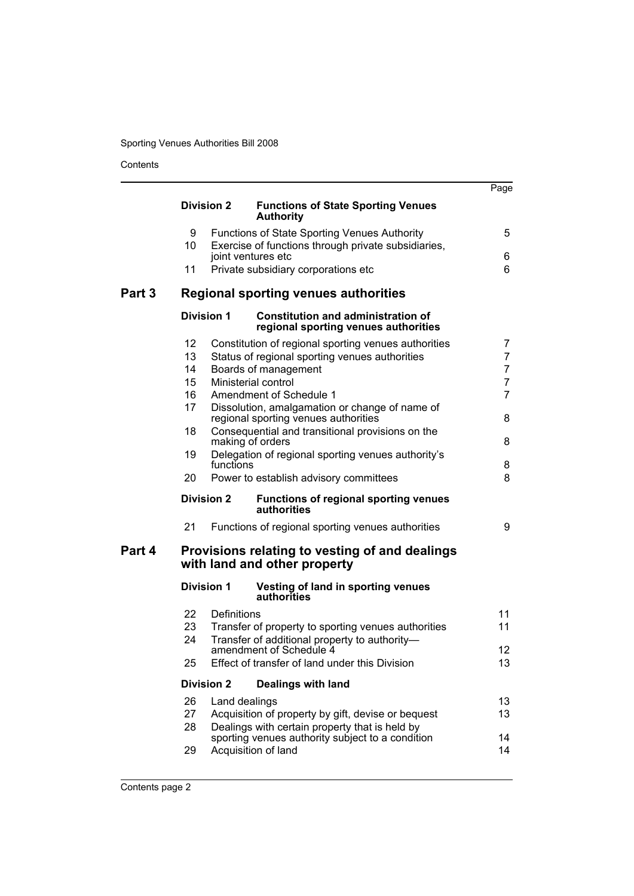Contents

|        |          |                   |                                                                                                            | Page                             |
|--------|----------|-------------------|------------------------------------------------------------------------------------------------------------|----------------------------------|
|        |          | <b>Division 2</b> | <b>Functions of State Sporting Venues</b><br><b>Authority</b>                                              |                                  |
|        |          |                   |                                                                                                            |                                  |
|        | 9<br>10  |                   | <b>Functions of State Sporting Venues Authority</b><br>Exercise of functions through private subsidiaries, | 5                                |
|        |          |                   | joint ventures etc                                                                                         | 6                                |
|        | 11       |                   | Private subsidiary corporations etc                                                                        | 6                                |
| Part 3 |          |                   | <b>Regional sporting venues authorities</b>                                                                |                                  |
|        |          | <b>Division 1</b> | <b>Constitution and administration of</b><br>regional sporting venues authorities                          |                                  |
|        | 12       |                   | Constitution of regional sporting venues authorities                                                       | 7                                |
|        | 13       |                   | Status of regional sporting venues authorities                                                             | $\overline{7}$                   |
|        | 14       |                   | Boards of management                                                                                       | $\overline{7}$                   |
|        | 15<br>16 |                   | Ministerial control<br>Amendment of Schedule 1                                                             | $\overline{7}$<br>$\overline{7}$ |
|        | 17       |                   | Dissolution, amalgamation or change of name of                                                             |                                  |
|        |          |                   | regional sporting venues authorities                                                                       | 8                                |
|        | 18       |                   | Consequential and transitional provisions on the<br>making of orders                                       | 8                                |
|        | 19       |                   | Delegation of regional sporting venues authority's                                                         |                                  |
|        | 20       | functions         | Power to establish advisory committees                                                                     | 8<br>8                           |
|        |          | <b>Division 2</b> | <b>Functions of regional sporting venues</b><br>authorities                                                |                                  |
|        | 21       |                   | Functions of regional sporting venues authorities                                                          | 9                                |
| Part 4 |          |                   | Provisions relating to vesting of and dealings<br>with land and other property                             |                                  |
|        |          | <b>Division 1</b> | Vesting of land in sporting venues<br>authorities                                                          |                                  |
|        | 22       | Definitions       |                                                                                                            | 11                               |
|        | 23       |                   | Transfer of property to sporting venues authorities                                                        | 11                               |
|        | 24       |                   | Transfer of additional property to authority-                                                              |                                  |
|        | 25       |                   | amendment of Schedule 4<br>Effect of transfer of land under this Division                                  | 12<br>13                         |
|        |          | <b>Division 2</b> | <b>Dealings with land</b>                                                                                  |                                  |
|        | 26       | Land dealings     |                                                                                                            | 13                               |
|        | 27       |                   | Acquisition of property by gift, devise or bequest                                                         | 13                               |
|        | 28       |                   | Dealings with certain property that is held by                                                             |                                  |
|        | 29       |                   | sporting venues authority subject to a condition<br>Acquisition of land                                    | 14<br>14                         |
|        |          |                   |                                                                                                            |                                  |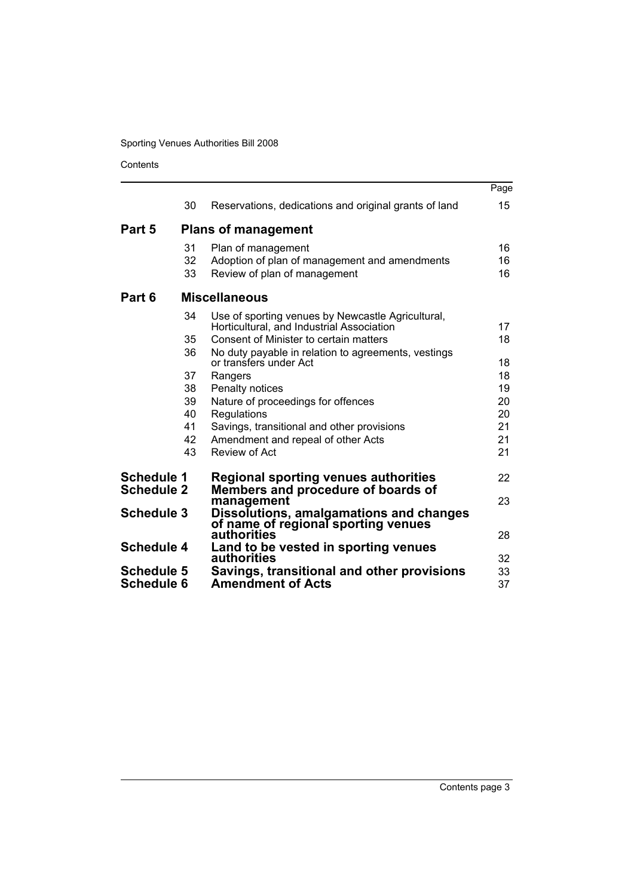Contents

|                                        |          |                                                                                                | Page     |
|----------------------------------------|----------|------------------------------------------------------------------------------------------------|----------|
|                                        | 30       | Reservations, dedications and original grants of land                                          | 15       |
| Part 5                                 |          | <b>Plans of management</b>                                                                     |          |
|                                        | 31       | Plan of management                                                                             | 16       |
|                                        | 32<br>33 | Adoption of plan of management and amendments<br>Review of plan of management                  | 16<br>16 |
| Part 6                                 |          | <b>Miscellaneous</b>                                                                           |          |
|                                        | 34       | Use of sporting venues by Newcastle Agricultural,<br>Horticultural, and Industrial Association | 17       |
|                                        | 35       | Consent of Minister to certain matters                                                         | 18       |
|                                        | 36       | No duty payable in relation to agreements, vestings                                            |          |
|                                        |          | or transfers under Act                                                                         | 18       |
|                                        | 37       | Rangers                                                                                        | 18       |
|                                        | 38<br>39 | Penalty notices                                                                                | 19       |
|                                        | 40       | Nature of proceedings for offences<br>Regulations                                              | 20<br>20 |
|                                        | 41       | Savings, transitional and other provisions                                                     | 21       |
|                                        | 42       | Amendment and repeal of other Acts                                                             | 21       |
|                                        | 43       | Review of Act                                                                                  | 21       |
|                                        |          |                                                                                                |          |
| <b>Schedule 1</b><br><b>Schedule 2</b> |          | <b>Regional sporting venues authorities</b><br>Members and procedure of boards of              | 22       |
|                                        |          | management                                                                                     | 23       |
| <b>Schedule 3</b>                      |          | Dissolutions, amalgamations and changes                                                        |          |
|                                        |          | of name of regional sporting venues<br>authorities                                             | 28       |
| <b>Schedule 4</b>                      |          | Land to be vested in sporting venues                                                           |          |
|                                        |          | authorities                                                                                    | 32       |
| <b>Schedule 5</b>                      |          | Savings, transitional and other provisions                                                     | 33       |
| <b>Schedule 6</b>                      |          | <b>Amendment of Acts</b>                                                                       | 37       |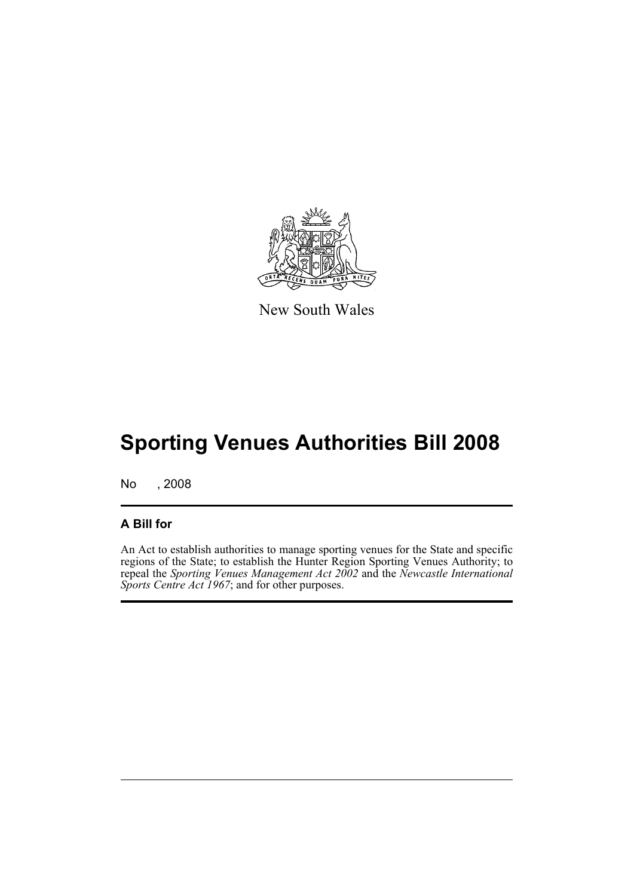

New South Wales

# **Sporting Venues Authorities Bill 2008**

No , 2008

## **A Bill for**

An Act to establish authorities to manage sporting venues for the State and specific regions of the State; to establish the Hunter Region Sporting Venues Authority; to repeal the *Sporting Venues Management Act 2002* and the *Newcastle International Sports Centre Act 1967*; and for other purposes.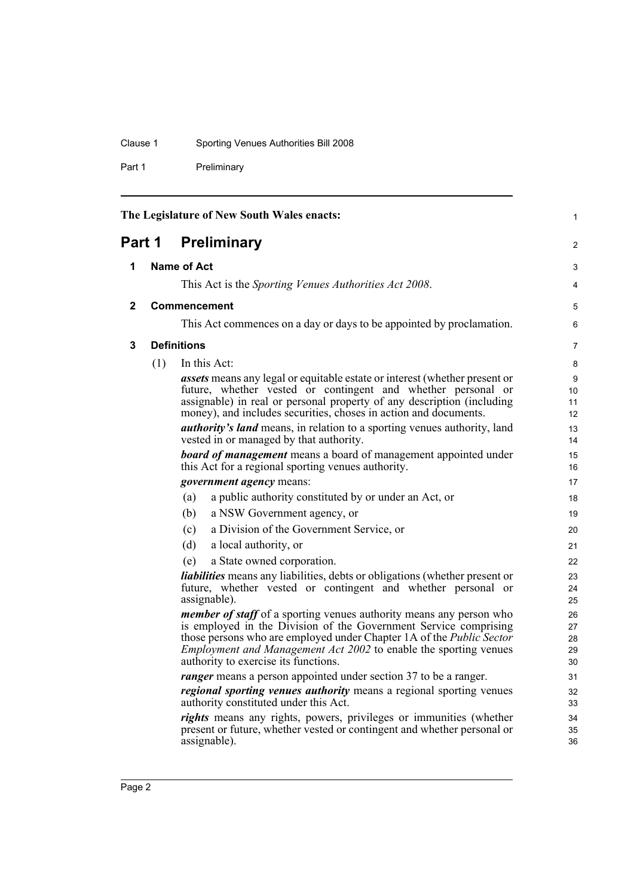## Clause 1 Sporting Venues Authorities Bill 2008

Part 1 Preliminary

<span id="page-11-3"></span><span id="page-11-2"></span><span id="page-11-1"></span><span id="page-11-0"></span>

| The Legislature of New South Wales enacts: |                    |                                                                                                                                                 | 1              |
|--------------------------------------------|--------------------|-------------------------------------------------------------------------------------------------------------------------------------------------|----------------|
| Part 1                                     |                    | <b>Preliminary</b>                                                                                                                              | $\overline{2}$ |
| 1                                          | <b>Name of Act</b> |                                                                                                                                                 | 3              |
|                                            |                    | This Act is the Sporting Venues Authorities Act 2008.                                                                                           | 4              |
| 2                                          |                    | <b>Commencement</b>                                                                                                                             | 5              |
|                                            |                    | This Act commences on a day or days to be appointed by proclamation.                                                                            | 6              |
|                                            |                    |                                                                                                                                                 |                |
| 3                                          |                    | <b>Definitions</b>                                                                                                                              | $\overline{7}$ |
|                                            | (1)                | In this Act:                                                                                                                                    | 8              |
|                                            |                    | <i>assets</i> means any legal or equitable estate or interest (whether present or                                                               | 9              |
|                                            |                    | future, whether vested or contingent and whether personal or                                                                                    | 10<br>11       |
|                                            |                    | assignable) in real or personal property of any description (including<br>money), and includes securities, choses in action and documents.      | 12             |
|                                            |                    | <i>authority's land</i> means, in relation to a sporting venues authority, land                                                                 | 13             |
|                                            |                    | vested in or managed by that authority.                                                                                                         | 14             |
|                                            |                    | <b>board of management</b> means a board of management appointed under                                                                          | 15             |
|                                            |                    | this Act for a regional sporting venues authority.                                                                                              | 16             |
|                                            |                    | <i>government agency</i> means:                                                                                                                 | 17             |
|                                            |                    | (a)<br>a public authority constituted by or under an Act, or                                                                                    | 18             |
|                                            |                    | (b)<br>a NSW Government agency, or                                                                                                              | 19             |
|                                            |                    | a Division of the Government Service, or<br>(c)                                                                                                 | 20             |
|                                            |                    | a local authority, or<br>(d)                                                                                                                    | 21             |
|                                            |                    | a State owned corporation.<br>(e)                                                                                                               | 22             |
|                                            |                    | <i>liabilities</i> means any liabilities, debts or obligations (whether present or                                                              | 23             |
|                                            |                    | future, whether vested or contingent and whether personal or                                                                                    | 24             |
|                                            |                    | assignable).                                                                                                                                    | 25             |
|                                            |                    | <i>member of staff</i> of a sporting venues authority means any person who                                                                      | 26             |
|                                            |                    | is employed in the Division of the Government Service comprising                                                                                | 27             |
|                                            |                    | those persons who are employed under Chapter 1A of the Public Sector<br><i>Employment and Management Act 2002 to enable the sporting venues</i> | 28<br>29       |
|                                            |                    | authority to exercise its functions.                                                                                                            | 30             |
|                                            |                    | <i>ranger</i> means a person appointed under section 37 to be a ranger.                                                                         | 31             |
|                                            |                    | <i>regional sporting venues authority</i> means a regional sporting venues                                                                      | 32             |
|                                            |                    | authority constituted under this Act.                                                                                                           | 33             |
|                                            |                    | rights means any rights, powers, privileges or immunities (whether                                                                              | 34             |
|                                            |                    | present or future, whether vested or contingent and whether personal or                                                                         | 35             |
|                                            |                    | assignable).                                                                                                                                    | 36             |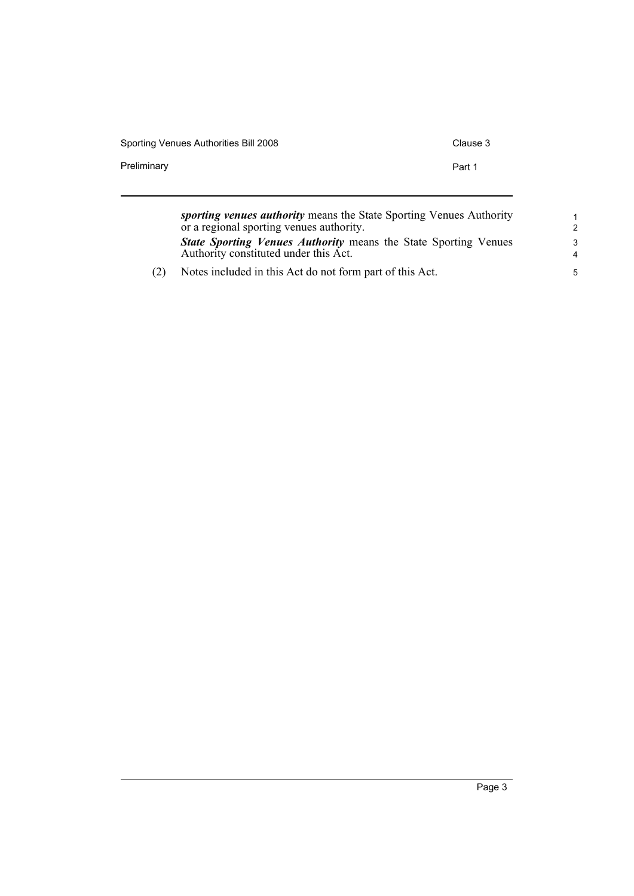| Sporting Venues Authorities Bill 2008 | Clause 3 |
|---------------------------------------|----------|
| Preliminary                           | Part 1   |
|                                       |          |

| sporting venues authority means the State Sporting Venues Authority    | 1              |
|------------------------------------------------------------------------|----------------|
| or a regional sporting venues authority.                               | $\mathcal{P}$  |
| <b>State Sporting Venues Authority means the State Sporting Venues</b> | 3              |
| Authority constituted under this Act.                                  | $\overline{a}$ |
| Notes included in this Act do not form part of this Act.               | 5              |

(2) Notes included in this Act do not form part of this Act.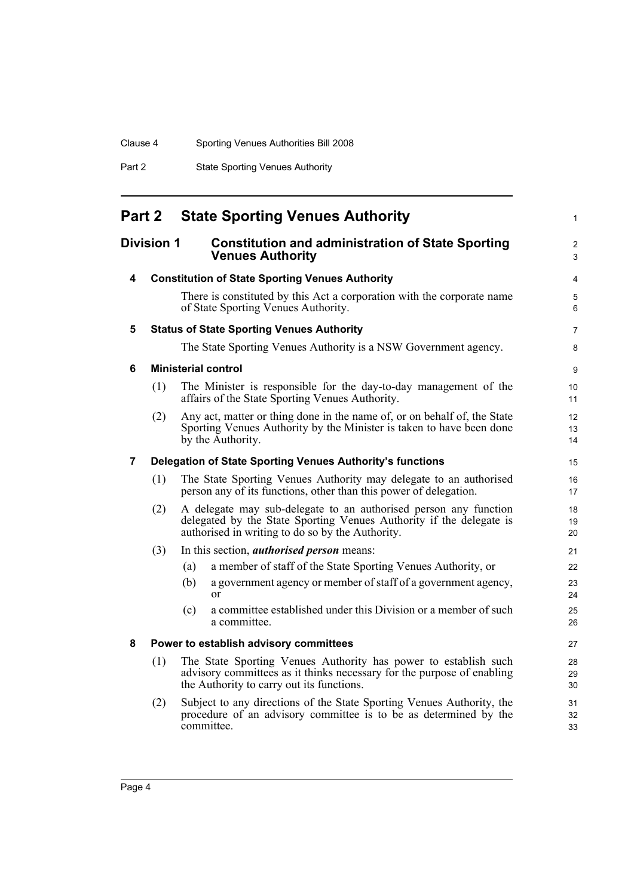| Sporting Venues Authorities Bill 2008<br>Clause 4 |
|---------------------------------------------------|
|---------------------------------------------------|

Part 2 State Sporting Venues Authority

<span id="page-13-6"></span><span id="page-13-5"></span><span id="page-13-4"></span><span id="page-13-3"></span><span id="page-13-2"></span><span id="page-13-1"></span><span id="page-13-0"></span>

| Part 2 |                   | <b>State Sporting Venues Authority</b>                                                                                                                                                      |
|--------|-------------------|---------------------------------------------------------------------------------------------------------------------------------------------------------------------------------------------|
|        | <b>Division 1</b> | <b>Constitution and administration of State Sporting</b><br><b>Venues Authority</b>                                                                                                         |
| 4      |                   | <b>Constitution of State Sporting Venues Authority</b>                                                                                                                                      |
|        |                   | There is constituted by this Act a corporation with the corporate name<br>of State Sporting Venues Authority.                                                                               |
| 5      |                   | <b>Status of State Sporting Venues Authority</b>                                                                                                                                            |
|        |                   | The State Sporting Venues Authority is a NSW Government agency.                                                                                                                             |
| 6      |                   | <b>Ministerial control</b>                                                                                                                                                                  |
|        | (1)               | The Minister is responsible for the day-to-day management of the<br>affairs of the State Sporting Venues Authority.                                                                         |
|        | (2)               | Any act, matter or thing done in the name of, or on behalf of, the State<br>Sporting Venues Authority by the Minister is taken to have been done<br>by the Authority.                       |
| 7      |                   | Delegation of State Sporting Venues Authority's functions                                                                                                                                   |
|        | (1)               | The State Sporting Venues Authority may delegate to an authorised<br>person any of its functions, other than this power of delegation.                                                      |
|        | (2)               | A delegate may sub-delegate to an authorised person any function<br>delegated by the State Sporting Venues Authority if the delegate is<br>authorised in writing to do so by the Authority. |
|        | (3)               | In this section, <i>authorised person</i> means:                                                                                                                                            |
|        |                   | a member of staff of the State Sporting Venues Authority, or<br>(a)                                                                                                                         |
|        |                   | a government agency or member of staff of a government agency,<br>(b)<br><sub>or</sub>                                                                                                      |
|        |                   | a committee established under this Division or a member of such<br>(c)<br>a committee.                                                                                                      |
| 8      |                   | Power to establish advisory committees                                                                                                                                                      |
|        | (1)               | The State Sporting Venues Authority has power to establish such<br>advisory committees as it thinks necessary for the purpose of enabling<br>the Authority to carry out its functions.      |
|        | (2)               | Subject to any directions of the State Sporting Venues Authority, the<br>procedure of an advisory committee is to be as determined by the<br>committee.                                     |

1

2 3

4 5 6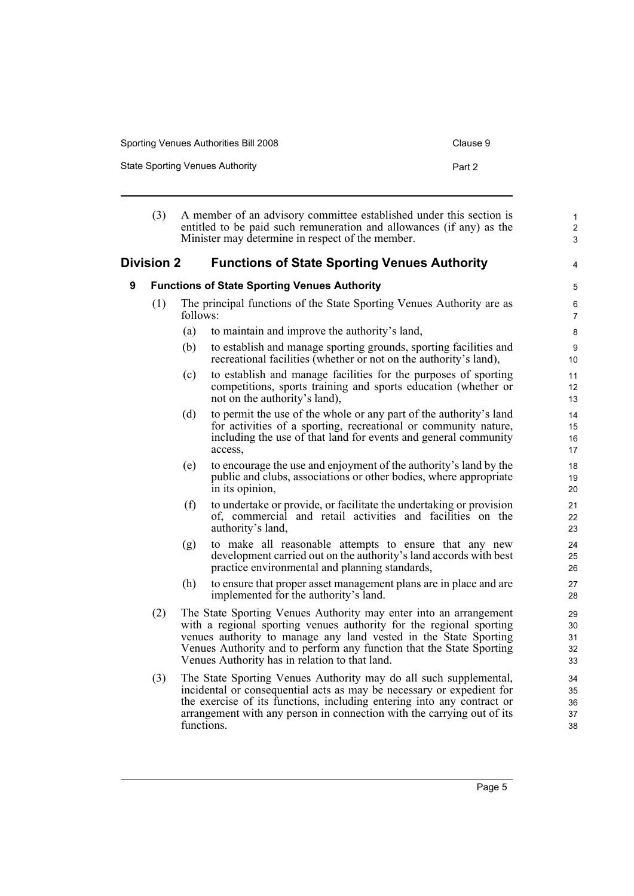| Sporting Venues Authorities Bill 2008 | Clause 9 |
|---------------------------------------|----------|
| State Sporting Venues Authority       | Part 2   |

<span id="page-14-1"></span><span id="page-14-0"></span>

|   | (3)                                                 |            | A member of an advisory committee established under this section is<br>entitled to be paid such remuneration and allowances (if any) as the<br>Minister may determine in respect of the member.                                                                                                                                        | $\mathbf{1}$<br>$\overline{2}$<br>3 |
|---|-----------------------------------------------------|------------|----------------------------------------------------------------------------------------------------------------------------------------------------------------------------------------------------------------------------------------------------------------------------------------------------------------------------------------|-------------------------------------|
|   | <b>Division 2</b>                                   |            | <b>Functions of State Sporting Venues Authority</b>                                                                                                                                                                                                                                                                                    | 4                                   |
| 9 | <b>Functions of State Sporting Venues Authority</b> |            | $\mathbf 5$                                                                                                                                                                                                                                                                                                                            |                                     |
|   | (1)                                                 | follows:   | The principal functions of the State Sporting Venues Authority are as                                                                                                                                                                                                                                                                  | 6<br>$\overline{7}$                 |
|   |                                                     | (a)        | to maintain and improve the authority's land,                                                                                                                                                                                                                                                                                          | 8                                   |
|   |                                                     | (b)        | to establish and manage sporting grounds, sporting facilities and<br>recreational facilities (whether or not on the authority's land),                                                                                                                                                                                                 | 9<br>10                             |
|   |                                                     | (c)        | to establish and manage facilities for the purposes of sporting<br>competitions, sports training and sports education (whether or<br>not on the authority's land),                                                                                                                                                                     | 11<br>12<br>13                      |
|   |                                                     | (d)        | to permit the use of the whole or any part of the authority's land<br>for activities of a sporting, recreational or community nature,<br>including the use of that land for events and general community<br>access,                                                                                                                    | 14<br>15<br>16<br>17                |
|   |                                                     | (e)        | to encourage the use and enjoyment of the authority's land by the<br>public and clubs, associations or other bodies, where appropriate<br>in its opinion,                                                                                                                                                                              | 18<br>19<br>20                      |
|   |                                                     | (f)        | to undertake or provide, or facilitate the undertaking or provision<br>of, commercial and retail activities and facilities on the<br>authority's land,                                                                                                                                                                                 | 21<br>22<br>23                      |
|   |                                                     | (g)        | to make all reasonable attempts to ensure that any new<br>development carried out on the authority's land accords with best<br>practice environmental and planning standards,                                                                                                                                                          | 24<br>25<br>26                      |
|   |                                                     | (h)        | to ensure that proper asset management plans are in place and are<br>implemented for the authority's land.                                                                                                                                                                                                                             | 27<br>28                            |
|   | (2)                                                 |            | The State Sporting Venues Authority may enter into an arrangement<br>with a regional sporting venues authority for the regional sporting<br>venues authority to manage any land vested in the State Sporting<br>Venues Authority and to perform any function that the State Sporting<br>Venues Authority has in relation to that land. | 29<br>30<br>31<br>32<br>33          |
|   | (3)                                                 | functions. | The State Sporting Venues Authority may do all such supplemental,<br>incidental or consequential acts as may be necessary or expedient for<br>the exercise of its functions, including entering into any contract or<br>arrangement with any person in connection with the carrying out of its                                         | 34<br>35<br>36<br>37<br>38          |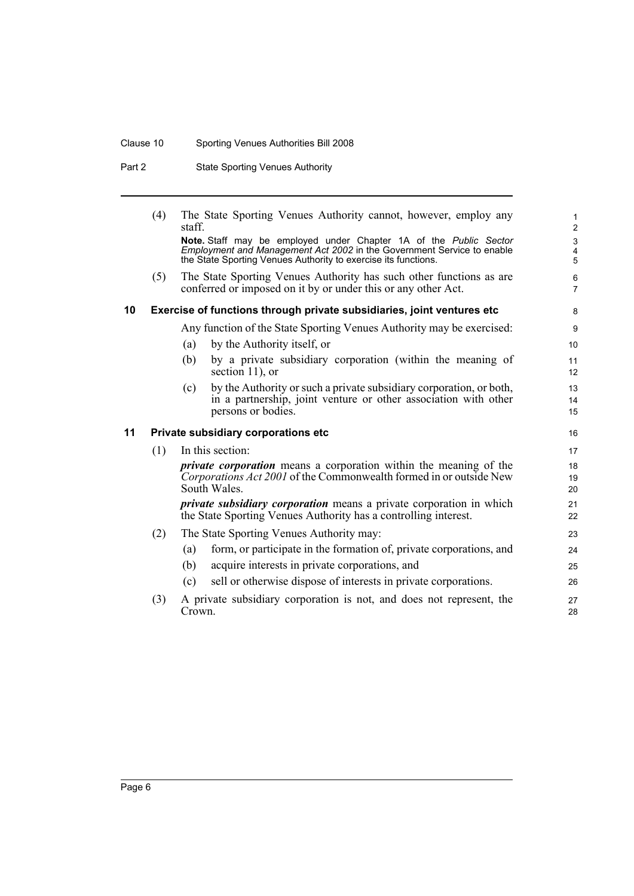## Clause 10 Sporting Venues Authorities Bill 2008

Part 2 State Sporting Venues Authority

<span id="page-15-1"></span><span id="page-15-0"></span>

|    | (4) | staff. | The State Sporting Venues Authority cannot, however, employ any                                                                                                                                               | $\mathbf{1}$<br>$\overline{c}$                            |
|----|-----|--------|---------------------------------------------------------------------------------------------------------------------------------------------------------------------------------------------------------------|-----------------------------------------------------------|
|    |     |        | Note. Staff may be employed under Chapter 1A of the Public Sector<br>Employment and Management Act 2002 in the Government Service to enable<br>the State Sporting Venues Authority to exercise its functions. | $\ensuremath{\mathsf{3}}$<br>$\overline{\mathbf{4}}$<br>5 |
|    | (5) |        | The State Sporting Venues Authority has such other functions as are<br>conferred or imposed on it by or under this or any other Act.                                                                          | 6<br>$\overline{7}$                                       |
| 10 |     |        | Exercise of functions through private subsidiaries, joint ventures etc                                                                                                                                        | 8                                                         |
|    |     |        | Any function of the State Sporting Venues Authority may be exercised:                                                                                                                                         | 9                                                         |
|    |     | (a)    | by the Authority itself, or                                                                                                                                                                                   | 10                                                        |
|    |     | (b)    | by a private subsidiary corporation (within the meaning of<br>section 11), or                                                                                                                                 | 11<br>12                                                  |
|    |     | (c)    | by the Authority or such a private subsidiary corporation, or both,<br>in a partnership, joint venture or other association with other<br>persons or bodies.                                                  | 13<br>14<br>15                                            |
| 11 |     |        | Private subsidiary corporations etc                                                                                                                                                                           | 16                                                        |
|    | (1) |        | In this section:                                                                                                                                                                                              | 17                                                        |
|    |     |        | <i>private corporation</i> means a corporation within the meaning of the<br>Corporations Act 2001 of the Commonwealth formed in or outside New<br>South Wales.                                                | 18<br>19<br>20                                            |
|    |     |        | <i>private subsidiary corporation</i> means a private corporation in which<br>the State Sporting Venues Authority has a controlling interest.                                                                 | 21<br>22                                                  |
|    | (2) |        | The State Sporting Venues Authority may:                                                                                                                                                                      | 23                                                        |
|    |     | (a)    | form, or participate in the formation of, private corporations, and                                                                                                                                           | 24                                                        |
|    |     | (b)    | acquire interests in private corporations, and                                                                                                                                                                | 25                                                        |
|    |     | (c)    | sell or otherwise dispose of interests in private corporations.                                                                                                                                               | 26                                                        |
|    | (3) | Crown. | A private subsidiary corporation is not, and does not represent, the                                                                                                                                          | 27<br>28                                                  |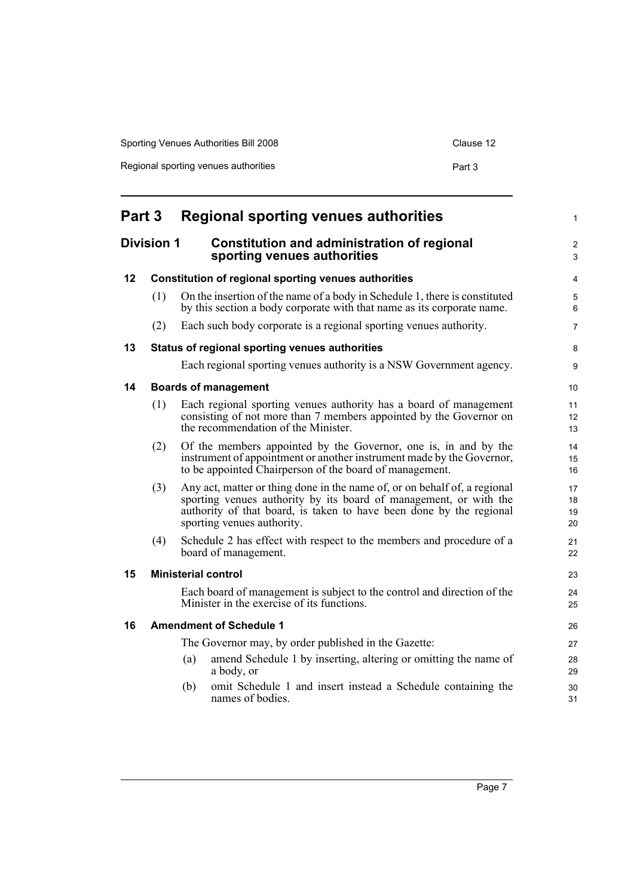| Sporting Venues Authorities Bill 2008 | Clause 12 |
|---------------------------------------|-----------|
| Regional sporting venues authorities  | Part 3    |

<span id="page-16-6"></span><span id="page-16-5"></span><span id="page-16-4"></span><span id="page-16-3"></span><span id="page-16-2"></span><span id="page-16-1"></span><span id="page-16-0"></span>

| Part 3 |                   | <b>Regional sporting venues authorities</b>                                                                                                                                                                                                         | 1                    |
|--------|-------------------|-----------------------------------------------------------------------------------------------------------------------------------------------------------------------------------------------------------------------------------------------------|----------------------|
|        | <b>Division 1</b> | <b>Constitution and administration of regional</b><br>sporting venues authorities                                                                                                                                                                   | 2<br>3               |
| 12     |                   | Constitution of regional sporting venues authorities                                                                                                                                                                                                | 4                    |
|        | (1)               | On the insertion of the name of a body in Schedule 1, there is constituted<br>by this section a body corporate with that name as its corporate name.                                                                                                | 5<br>6               |
|        | (2)               | Each such body corporate is a regional sporting venues authority.                                                                                                                                                                                   | 7                    |
| 13     |                   | Status of regional sporting venues authorities                                                                                                                                                                                                      | 8                    |
|        |                   | Each regional sporting venues authority is a NSW Government agency.                                                                                                                                                                                 | 9                    |
| 14     |                   | <b>Boards of management</b>                                                                                                                                                                                                                         | 10                   |
|        | (1)               | Each regional sporting venues authority has a board of management<br>consisting of not more than 7 members appointed by the Governor on<br>the recommendation of the Minister.                                                                      | 11<br>12<br>13       |
|        | (2)               | Of the members appointed by the Governor, one is, in and by the<br>instrument of appointment or another instrument made by the Governor,<br>to be appointed Chairperson of the board of management.                                                 | 14<br>15<br>16       |
|        | (3)               | Any act, matter or thing done in the name of, or on behalf of, a regional<br>sporting venues authority by its board of management, or with the<br>authority of that board, is taken to have been done by the regional<br>sporting venues authority. | 17<br>18<br>19<br>20 |
|        | (4)               | Schedule 2 has effect with respect to the members and procedure of a<br>board of management.                                                                                                                                                        | 21<br>22             |
| 15     |                   | <b>Ministerial control</b>                                                                                                                                                                                                                          | 23                   |
|        |                   | Each board of management is subject to the control and direction of the<br>Minister in the exercise of its functions.                                                                                                                               | 24<br>25             |
| 16     |                   | <b>Amendment of Schedule 1</b>                                                                                                                                                                                                                      | 26                   |
|        |                   | The Governor may, by order published in the Gazette:                                                                                                                                                                                                | 27                   |
|        |                   | amend Schedule 1 by inserting, altering or omitting the name of<br>(a)<br>a body, or                                                                                                                                                                | 28<br>29             |
|        |                   | omit Schedule 1 and insert instead a Schedule containing the<br>(b)<br>names of bodies.                                                                                                                                                             | 30<br>31             |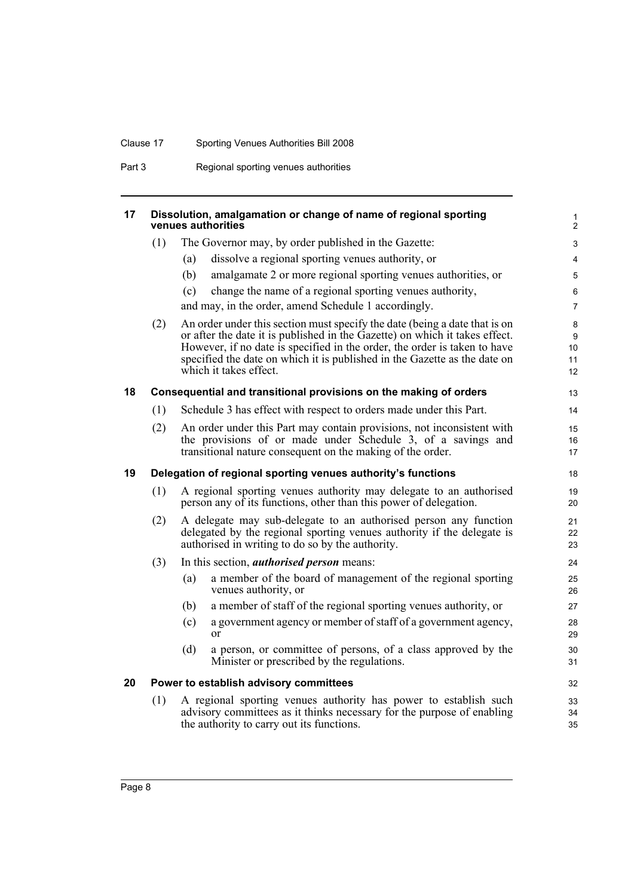## Clause 17 Sporting Venues Authorities Bill 2008

Part 3 Regional sporting venues authorities

<span id="page-17-3"></span><span id="page-17-2"></span><span id="page-17-1"></span><span id="page-17-0"></span>

| 17 |     |     | Dissolution, amalgamation or change of name of regional sporting<br>venues authorities                                                                                                                                                                                                                                                        | 1<br>$\overline{2}$                   |
|----|-----|-----|-----------------------------------------------------------------------------------------------------------------------------------------------------------------------------------------------------------------------------------------------------------------------------------------------------------------------------------------------|---------------------------------------|
|    | (1) |     | The Governor may, by order published in the Gazette:                                                                                                                                                                                                                                                                                          | 3                                     |
|    |     | (a) | dissolve a regional sporting venues authority, or                                                                                                                                                                                                                                                                                             | 4                                     |
|    |     | (b) | amalgamate 2 or more regional sporting venues authorities, or                                                                                                                                                                                                                                                                                 | 5                                     |
|    |     | (c) | change the name of a regional sporting venues authority,                                                                                                                                                                                                                                                                                      | 6                                     |
|    |     |     | and may, in the order, amend Schedule 1 accordingly.                                                                                                                                                                                                                                                                                          | $\overline{7}$                        |
|    | (2) |     | An order under this section must specify the date (being a date that is on<br>or after the date it is published in the Gazette) on which it takes effect.<br>However, if no date is specified in the order, the order is taken to have<br>specified the date on which it is published in the Gazette as the date on<br>which it takes effect. | 8<br>9<br>10 <sup>°</sup><br>11<br>12 |
| 18 |     |     | Consequential and transitional provisions on the making of orders                                                                                                                                                                                                                                                                             | 13                                    |
|    | (1) |     | Schedule 3 has effect with respect to orders made under this Part.                                                                                                                                                                                                                                                                            | 14                                    |
|    | (2) |     | An order under this Part may contain provisions, not inconsistent with<br>the provisions of or made under Schedule 3, of a savings and<br>transitional nature consequent on the making of the order.                                                                                                                                          | 15<br>16<br>17                        |
| 19 |     |     | Delegation of regional sporting venues authority's functions                                                                                                                                                                                                                                                                                  | 18                                    |
|    | (1) |     | A regional sporting venues authority may delegate to an authorised<br>person any of its functions, other than this power of delegation.                                                                                                                                                                                                       | 19<br>20                              |
|    | (2) |     | A delegate may sub-delegate to an authorised person any function<br>delegated by the regional sporting venues authority if the delegate is<br>authorised in writing to do so by the authority.                                                                                                                                                | 21<br>22<br>23                        |
|    | (3) |     | In this section, <i>authorised person</i> means:                                                                                                                                                                                                                                                                                              | 24                                    |
|    |     | (a) | a member of the board of management of the regional sporting<br>venues authority, or                                                                                                                                                                                                                                                          | 25<br>26                              |
|    |     | (b) | a member of staff of the regional sporting venues authority, or                                                                                                                                                                                                                                                                               | 27                                    |
|    |     | (c) | a government agency or member of staff of a government agency,<br>or                                                                                                                                                                                                                                                                          | 28<br>29                              |
|    |     | (d) | a person, or committee of persons, of a class approved by the<br>Minister or prescribed by the regulations.                                                                                                                                                                                                                                   | 30<br>31                              |
| 20 |     |     | Power to establish advisory committees                                                                                                                                                                                                                                                                                                        | 32                                    |
|    | (1) |     | A regional sporting venues authority has power to establish such<br>advisory committees as it thinks necessary for the purpose of enabling<br>the authority to carry out its functions.                                                                                                                                                       | 33<br>34<br>35                        |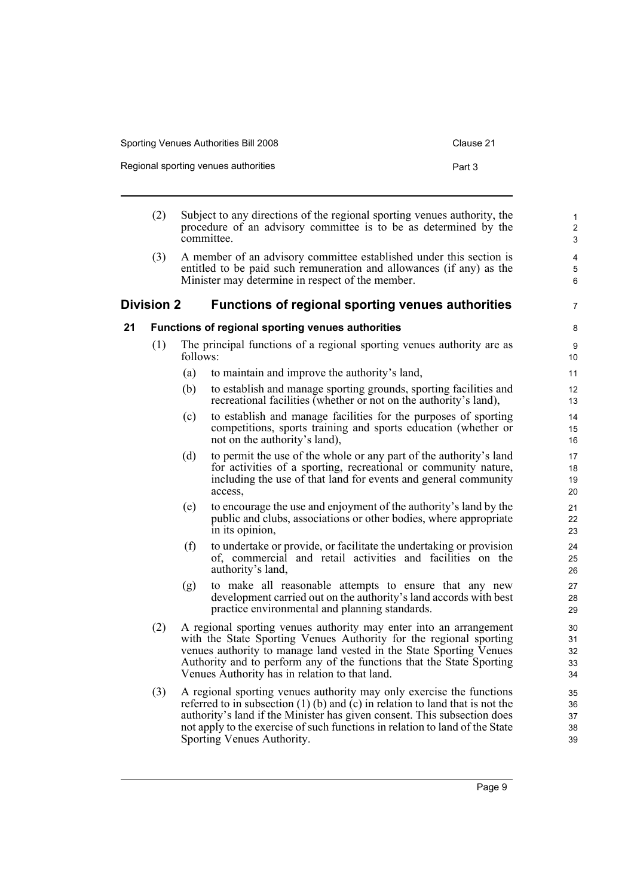| Sporting Venues Authorities Bill 2008 | Clause 21 |
|---------------------------------------|-----------|
| Regional sporting venues authorities  | Part 3    |

- (2) Subject to any directions of the regional sporting venues authority, the procedure of an advisory committee is to be as determined by the committee.
- (3) A member of an advisory committee established under this section is entitled to be paid such remuneration and allowances (if any) as the Minister may determine in respect of the member.

### <span id="page-18-0"></span>**Division 2 Functions of regional sporting venues authorities**

#### <span id="page-18-1"></span>**21 Functions of regional sporting venues authorities**

- (1) The principal functions of a regional sporting venues authority are as follows:
	- (a) to maintain and improve the authority's land,
	- (b) to establish and manage sporting grounds, sporting facilities and recreational facilities (whether or not on the authority's land),
	- (c) to establish and manage facilities for the purposes of sporting competitions, sports training and sports education (whether or not on the authority's land),
	- (d) to permit the use of the whole or any part of the authority's land for activities of a sporting, recreational or community nature, including the use of that land for events and general community access,
	- (e) to encourage the use and enjoyment of the authority's land by the public and clubs, associations or other bodies, where appropriate in its opinion,
	- (f) to undertake or provide, or facilitate the undertaking or provision of, commercial and retail activities and facilities on the authority's land,
	- (g) to make all reasonable attempts to ensure that any new development carried out on the authority's land accords with best practice environmental and planning standards.
- (2) A regional sporting venues authority may enter into an arrangement with the State Sporting Venues Authority for the regional sporting venues authority to manage land vested in the State Sporting Venues Authority and to perform any of the functions that the State Sporting Venues Authority has in relation to that land.
- (3) A regional sporting venues authority may only exercise the functions referred to in subsection (1) (b) and (c) in relation to land that is not the authority's land if the Minister has given consent. This subsection does not apply to the exercise of such functions in relation to land of the State Sporting Venues Authority.

7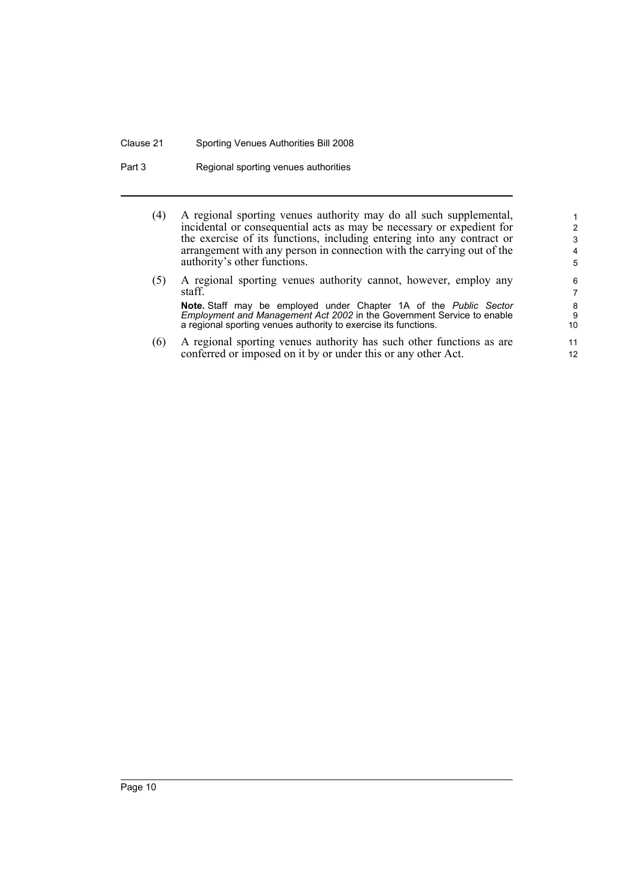#### Clause 21 Sporting Venues Authorities Bill 2008

Part 3 Regional sporting venues authorities

(4) A regional sporting venues authority may do all such supplemental, incidental or consequential acts as may be necessary or expedient for the exercise of its functions, including entering into any contract or arrangement with any person in connection with the carrying out of the authority's other functions.

- (5) A regional sporting venues authority cannot, however, employ any staff. **Note.** Staff may be employed under Chapter 1A of the *Public Sector Employment and Management Act 2002* in the Government Service to enable a regional sporting venues authority to exercise its functions.
- (6) A regional sporting venues authority has such other functions as are conferred or imposed on it by or under this or any other Act.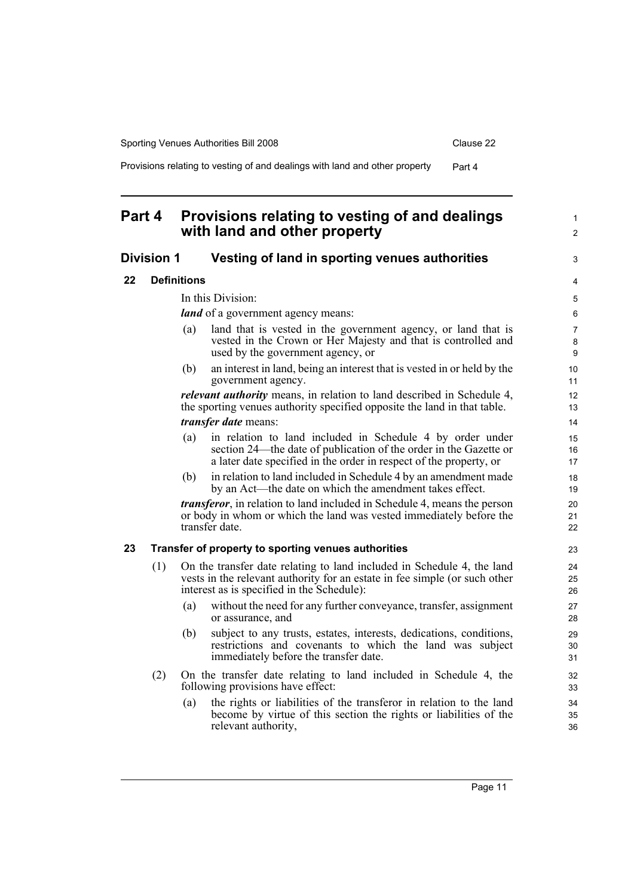1  $\mathfrak{p}$ 

3

Provisions relating to vesting of and dealings with land and other property Part 4

## <span id="page-20-0"></span>**Part 4 Provisions relating to vesting of and dealings with land and other property**

#### <span id="page-20-1"></span>**Division 1 Vesting of land in sporting venues authorities**

<span id="page-20-2"></span>**22 Definitions**

In this Division:

*land* of a government agency means:

- (a) land that is vested in the government agency, or land that is vested in the Crown or Her Majesty and that is controlled and used by the government agency, or
- (b) an interest in land, being an interest that is vested in or held by the government agency.

*relevant authority* means, in relation to land described in Schedule 4, the sporting venues authority specified opposite the land in that table. *transfer date* means:

- (a) in relation to land included in Schedule 4 by order under section 24—the date of publication of the order in the Gazette or a later date specified in the order in respect of the property, or
- (b) in relation to land included in Schedule 4 by an amendment made by an Act—the date on which the amendment takes effect.

*transferor*, in relation to land included in Schedule 4, means the person or body in whom or which the land was vested immediately before the transfer date.

#### <span id="page-20-3"></span>**23 Transfer of property to sporting venues authorities**

- (1) On the transfer date relating to land included in Schedule 4, the land vests in the relevant authority for an estate in fee simple (or such other interest as is specified in the Schedule):
	- (a) without the need for any further conveyance, transfer, assignment or assurance, and
	- (b) subject to any trusts, estates, interests, dedications, conditions, restrictions and covenants to which the land was subject immediately before the transfer date.
- (2) On the transfer date relating to land included in Schedule 4, the following provisions have effect:
	- (a) the rights or liabilities of the transferor in relation to the land become by virtue of this section the rights or liabilities of the relevant authority,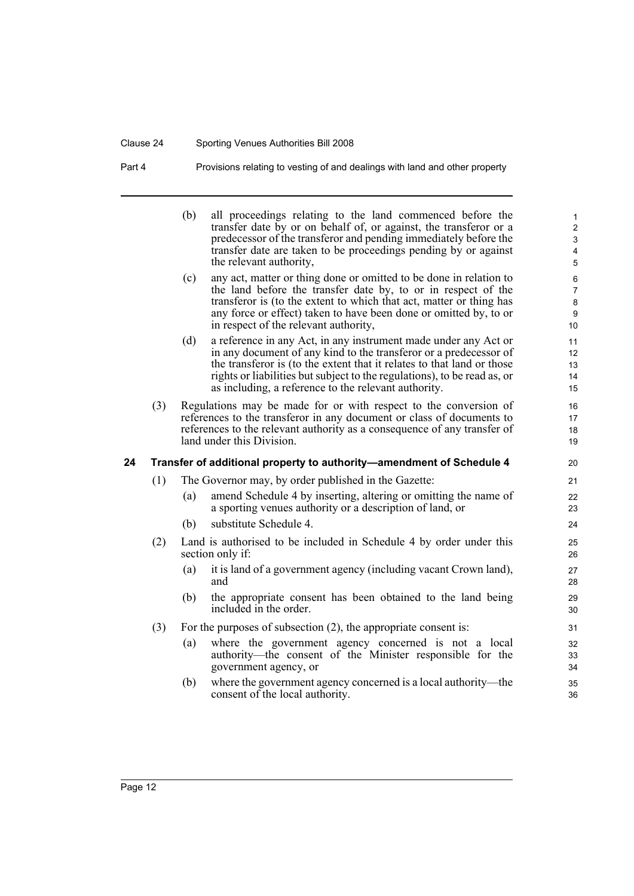#### Clause 24 Sporting Venues Authorities Bill 2008

Part 4 Provisions relating to vesting of and dealings with land and other property

<span id="page-21-0"></span>(b) all proceedings relating to the land commenced before the transfer date by or on behalf of, or against, the transferor or a predecessor of the transferor and pending immediately before the transfer date are taken to be proceedings pending by or against the relevant authority, (c) any act, matter or thing done or omitted to be done in relation to the land before the transfer date by, to or in respect of the transferor is (to the extent to which that act, matter or thing has any force or effect) taken to have been done or omitted by, to or in respect of the relevant authority, (d) a reference in any Act, in any instrument made under any Act or in any document of any kind to the transferor or a predecessor of the transferor is (to the extent that it relates to that land or those rights or liabilities but subject to the regulations), to be read as, or as including, a reference to the relevant authority. (3) Regulations may be made for or with respect to the conversion of references to the transferor in any document or class of documents to references to the relevant authority as a consequence of any transfer of land under this Division. **24 Transfer of additional property to authority—amendment of Schedule 4** (1) The Governor may, by order published in the Gazette: (a) amend Schedule 4 by inserting, altering or omitting the name of a sporting venues authority or a description of land, or (b) substitute Schedule 4. (2) Land is authorised to be included in Schedule 4 by order under this section only if: (a) it is land of a government agency (including vacant Crown land), and (b) the appropriate consent has been obtained to the land being included in the order. (3) For the purposes of subsection (2), the appropriate consent is: (a) where the government agency concerned is not a local authority—the consent of the Minister responsible for the government agency, or (b) where the government agency concerned is a local authority—the consent of the local authority. 5 6 7 8 9 10 11 12 13 14 15 16 17 18 19 20 21 22 23 24 25 26 27 28 29 30 31 32 33 34 35 36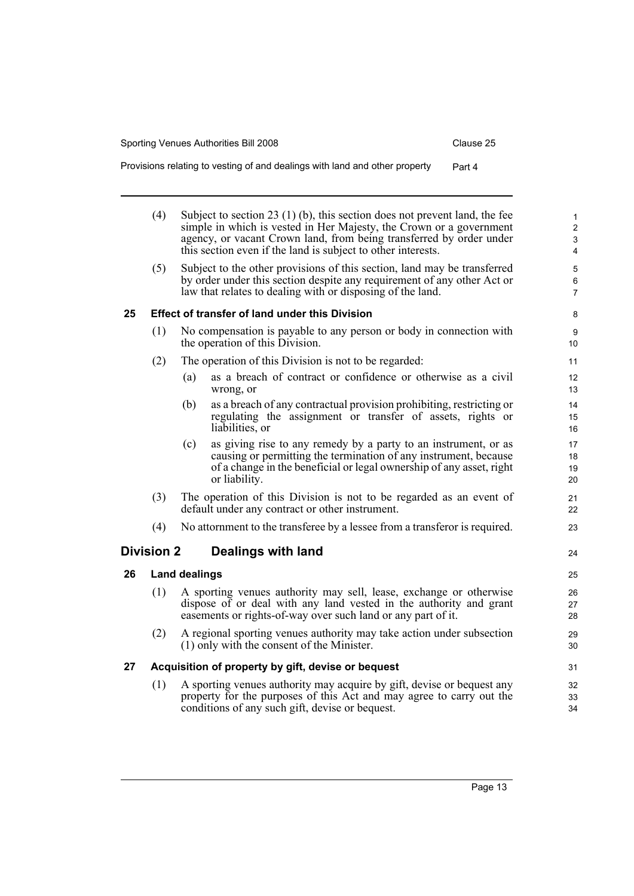| Provisions relating to vesting of and dealings with land and other property |  |  |  |  | Part 4 |
|-----------------------------------------------------------------------------|--|--|--|--|--------|
|-----------------------------------------------------------------------------|--|--|--|--|--------|

<span id="page-22-3"></span><span id="page-22-2"></span><span id="page-22-1"></span><span id="page-22-0"></span>

|    | (4)               | Subject to section 23 $(1)$ (b), this section does not prevent land, the fee<br>simple in which is vested in Her Majesty, the Crown or a government<br>agency, or vacant Crown land, from being transferred by order under<br>this section even if the land is subject to other interests. | $\mathbf{1}$<br>$\overline{2}$<br>$\mathsf 3$<br>4 |
|----|-------------------|--------------------------------------------------------------------------------------------------------------------------------------------------------------------------------------------------------------------------------------------------------------------------------------------|----------------------------------------------------|
|    | (5)               | Subject to the other provisions of this section, land may be transferred<br>by order under this section despite any requirement of any other Act or<br>law that relates to dealing with or disposing of the land.                                                                          | 5<br>$\,6\,$<br>$\overline{7}$                     |
| 25 |                   | <b>Effect of transfer of land under this Division</b>                                                                                                                                                                                                                                      | 8                                                  |
|    | (1)               | No compensation is payable to any person or body in connection with<br>the operation of this Division.                                                                                                                                                                                     | $\boldsymbol{9}$<br>10                             |
|    | (2)               | The operation of this Division is not to be regarded:                                                                                                                                                                                                                                      | 11                                                 |
|    |                   | as a breach of contract or confidence or otherwise as a civil<br>(a)<br>wrong, or                                                                                                                                                                                                          | 12<br>13                                           |
|    |                   | (b)<br>as a breach of any contractual provision prohibiting, restricting or<br>regulating the assignment or transfer of assets, rights or<br>liabilities, or                                                                                                                               | 14<br>15<br>16                                     |
|    |                   | (c)<br>as giving rise to any remedy by a party to an instrument, or as<br>causing or permitting the termination of any instrument, because<br>of a change in the beneficial or legal ownership of any asset, right<br>or liability.                                                        | 17<br>18<br>19<br>20                               |
|    | (3)               | The operation of this Division is not to be regarded as an event of<br>default under any contract or other instrument.                                                                                                                                                                     | 21<br>22                                           |
|    | (4)               | No attornment to the transferee by a lessee from a transferor is required.                                                                                                                                                                                                                 | 23                                                 |
|    | <b>Division 2</b> | Dealings with land                                                                                                                                                                                                                                                                         | 24                                                 |
| 26 |                   | <b>Land dealings</b>                                                                                                                                                                                                                                                                       | 25                                                 |
|    | (1)               | A sporting venues authority may sell, lease, exchange or otherwise<br>dispose of or deal with any land vested in the authority and grant<br>easements or rights-of-way over such land or any part of it.                                                                                   | 26<br>27<br>28                                     |
|    | (2)               | A regional sporting venues authority may take action under subsection<br>(1) only with the consent of the Minister.                                                                                                                                                                        | 29<br>30                                           |
| 27 |                   | Acquisition of property by gift, devise or bequest                                                                                                                                                                                                                                         | 31                                                 |
|    | (1)               | A sporting venues authority may acquire by gift, devise or bequest any<br>property for the purposes of this Act and may agree to carry out the<br>conditions of any such gift, devise or bequest.                                                                                          | 32<br>33<br>34                                     |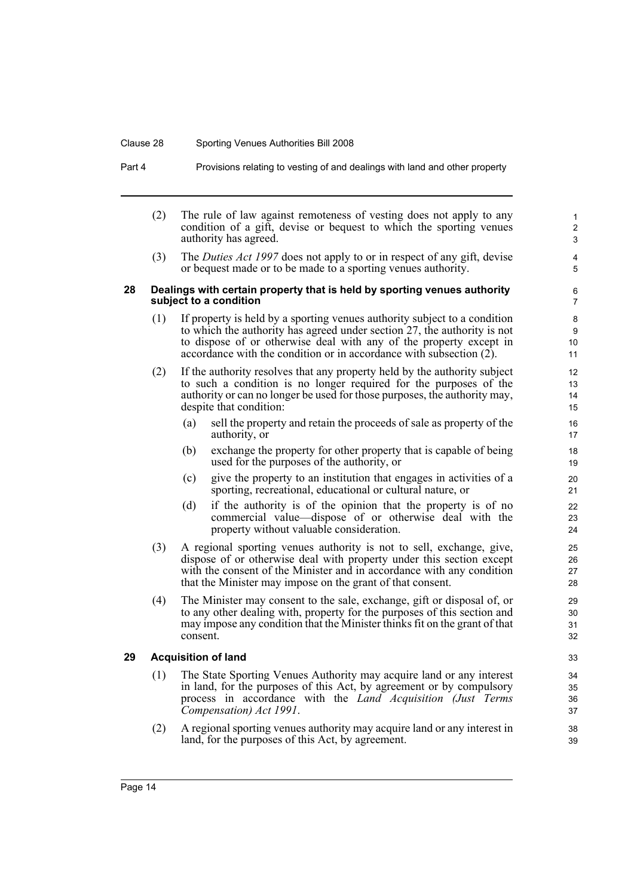#### Clause 28 Sporting Venues Authorities Bill 2008

Part 4 Provisions relating to vesting of and dealings with land and other property

(2) The rule of law against remoteness of vesting does not apply to any condition of a gift, devise or bequest to which the sporting venues authority has agreed.

(3) The *Duties Act 1997* does not apply to or in respect of any gift, devise or bequest made or to be made to a sporting venues authority.

#### <span id="page-23-0"></span>**28 Dealings with certain property that is held by sporting venues authority subject to a condition**

- (1) If property is held by a sporting venues authority subject to a condition to which the authority has agreed under section 27, the authority is not to dispose of or otherwise deal with any of the property except in accordance with the condition or in accordance with subsection (2).
- (2) If the authority resolves that any property held by the authority subject to such a condition is no longer required for the purposes of the authority or can no longer be used for those purposes, the authority may, despite that condition:
	- (a) sell the property and retain the proceeds of sale as property of the authority, or
	- (b) exchange the property for other property that is capable of being used for the purposes of the authority, or
	- (c) give the property to an institution that engages in activities of a sporting, recreational, educational or cultural nature, or
	- (d) if the authority is of the opinion that the property is of no commercial value—dispose of or otherwise deal with the property without valuable consideration.
- (3) A regional sporting venues authority is not to sell, exchange, give, dispose of or otherwise deal with property under this section except with the consent of the Minister and in accordance with any condition that the Minister may impose on the grant of that consent.
- (4) The Minister may consent to the sale, exchange, gift or disposal of, or to any other dealing with, property for the purposes of this section and may impose any condition that the Minister thinks fit on the grant of that consent.

#### <span id="page-23-1"></span>**29 Acquisition of land**

- (1) The State Sporting Venues Authority may acquire land or any interest in land, for the purposes of this Act, by agreement or by compulsory process in accordance with the *Land Acquisition (Just Terms Compensation) Act 1991*.
- (2) A regional sporting venues authority may acquire land or any interest in land, for the purposes of this Act, by agreement.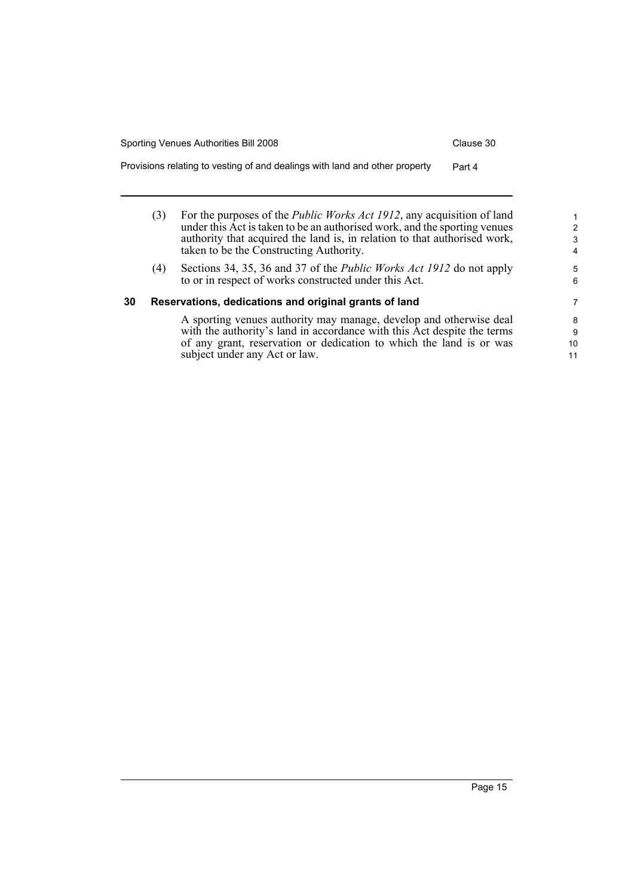Provisions relating to vesting of and dealings with land and other property Part 4

- (3) For the purposes of the *Public Works Act 1912*, any acquisition of land under this Act is taken to be an authorised work, and the sporting venues authority that acquired the land is, in relation to that authorised work, taken to be the Constructing Authority.
- (4) Sections 34, 35, 36 and 37 of the *Public Works Act 1912* do not apply to or in respect of works constructed under this Act.

#### <span id="page-24-0"></span>**30 Reservations, dedications and original grants of land**

A sporting venues authority may manage, develop and otherwise deal with the authority's land in accordance with this Act despite the terms of any grant, reservation or dedication to which the land is or was subject under any Act or law.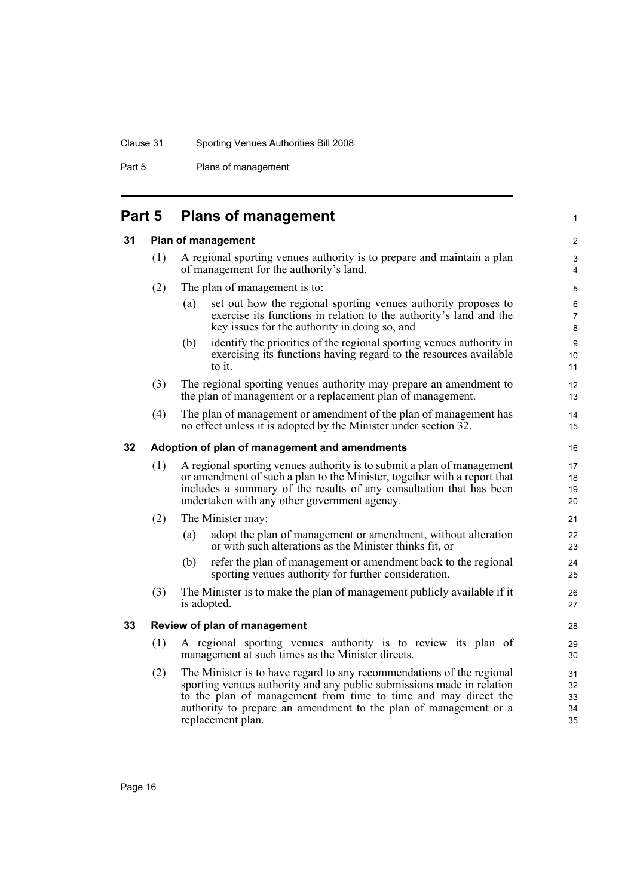#### Clause 31 Sporting Venues Authorities Bill 2008

Part 5 Plans of management

## <span id="page-25-0"></span>**Part 5 Plans of management**

#### <span id="page-25-1"></span>**31 Plan of management**

(1) A regional sporting venues authority is to prepare and maintain a plan of management for the authority's land.

#### (2) The plan of management is to:

(a) set out how the regional sporting venues authority proposes to exercise its functions in relation to the authority's land and the key issues for the authority in doing so, and

1

- (b) identify the priorities of the regional sporting venues authority in exercising its functions having regard to the resources available to it.
- (3) The regional sporting venues authority may prepare an amendment to the plan of management or a replacement plan of management.
- (4) The plan of management or amendment of the plan of management has no effect unless it is adopted by the Minister under section 32.

#### <span id="page-25-2"></span>**32 Adoption of plan of management and amendments**

- (1) A regional sporting venues authority is to submit a plan of management or amendment of such a plan to the Minister, together with a report that includes a summary of the results of any consultation that has been undertaken with any other government agency.
- (2) The Minister may:
	- (a) adopt the plan of management or amendment, without alteration or with such alterations as the Minister thinks fit, or
	- (b) refer the plan of management or amendment back to the regional sporting venues authority for further consideration.
- (3) The Minister is to make the plan of management publicly available if it is adopted.

#### <span id="page-25-3"></span>**33 Review of plan of management**

- (1) A regional sporting venues authority is to review its plan of management at such times as the Minister directs.
- (2) The Minister is to have regard to any recommendations of the regional sporting venues authority and any public submissions made in relation to the plan of management from time to time and may direct the authority to prepare an amendment to the plan of management or a replacement plan.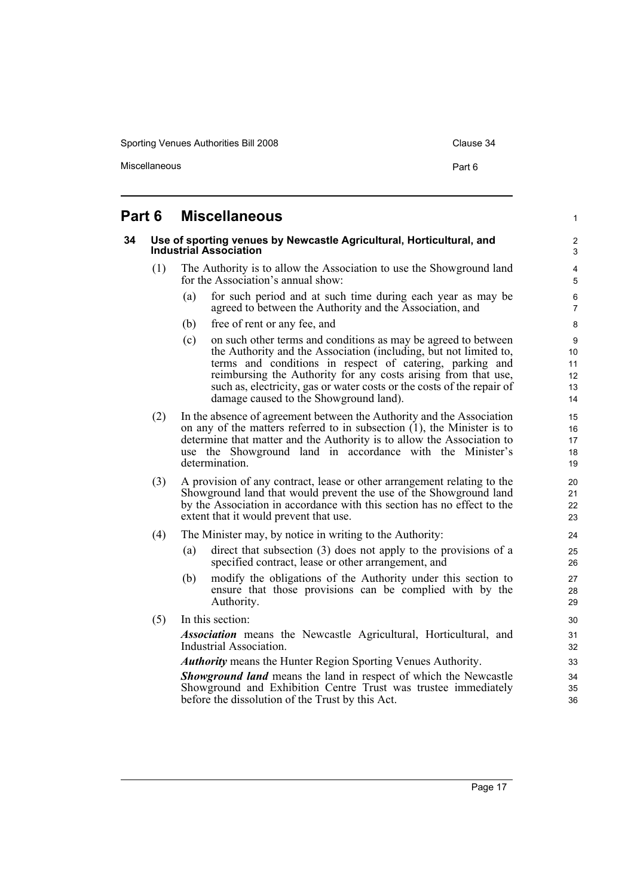Sporting Venues Authorities Bill 2008 Clause 34

Miscellaneous **Part 6** 

1

## <span id="page-26-0"></span>**Part 6 Miscellaneous**

<span id="page-26-1"></span>

| 34 |     |     | Use of sporting venues by Newcastle Agricultural, Horticultural, and<br><b>Industrial Association</b>                                                                                                                                                                                                                                                                                 | $\overline{c}$<br>3                                       |
|----|-----|-----|---------------------------------------------------------------------------------------------------------------------------------------------------------------------------------------------------------------------------------------------------------------------------------------------------------------------------------------------------------------------------------------|-----------------------------------------------------------|
|    | (1) |     | The Authority is to allow the Association to use the Showground land<br>for the Association's annual show:                                                                                                                                                                                                                                                                            | 4<br>5                                                    |
|    |     | (a) | for such period and at such time during each year as may be<br>agreed to between the Authority and the Association, and                                                                                                                                                                                                                                                               | 6<br>$\overline{7}$                                       |
|    |     | (b) | free of rent or any fee, and                                                                                                                                                                                                                                                                                                                                                          | 8                                                         |
|    |     | (c) | on such other terms and conditions as may be agreed to between<br>the Authority and the Association (including, but not limited to,<br>terms and conditions in respect of catering, parking and<br>reimbursing the Authority for any costs arising from that use,<br>such as, electricity, gas or water costs or the costs of the repair of<br>damage caused to the Showground land). | 9<br>10 <sup>1</sup><br>11<br>12 <sup>2</sup><br>13<br>14 |
|    | (2) |     | In the absence of agreement between the Authority and the Association<br>on any of the matters referred to in subsection $(1)$ , the Minister is to<br>determine that matter and the Authority is to allow the Association to<br>use the Showground land in accordance with the Minister's<br>determination.                                                                          | 15 <sup>15</sup><br>16<br>17<br>18<br>19                  |
|    | (3) |     | A provision of any contract, lease or other arrangement relating to the<br>Showground land that would prevent the use of the Showground land<br>by the Association in accordance with this section has no effect to the<br>extent that it would prevent that use.                                                                                                                     | 20<br>21<br>22<br>23                                      |
|    | (4) |     | The Minister may, by notice in writing to the Authority:                                                                                                                                                                                                                                                                                                                              | 24                                                        |
|    |     | (a) | direct that subsection (3) does not apply to the provisions of a<br>specified contract, lease or other arrangement, and                                                                                                                                                                                                                                                               | 25<br>26                                                  |
|    |     | (b) | modify the obligations of the Authority under this section to<br>ensure that those provisions can be complied with by the<br>Authority.                                                                                                                                                                                                                                               | 27<br>28<br>29                                            |
|    | (5) |     | In this section:                                                                                                                                                                                                                                                                                                                                                                      | 30                                                        |
|    |     |     | <i>Association</i> means the Newcastle Agricultural, Horticultural, and<br>Industrial Association.                                                                                                                                                                                                                                                                                    | 31<br>32                                                  |
|    |     |     | <b>Authority</b> means the Hunter Region Sporting Venues Authority.                                                                                                                                                                                                                                                                                                                   | 33                                                        |
|    |     |     | <b>Showground land</b> means the land in respect of which the Newcastle<br>Showground and Exhibition Centre Trust was trustee immediately                                                                                                                                                                                                                                             | 34<br>35                                                  |
|    |     |     | before the dissolution of the Trust by this Act.                                                                                                                                                                                                                                                                                                                                      | 36                                                        |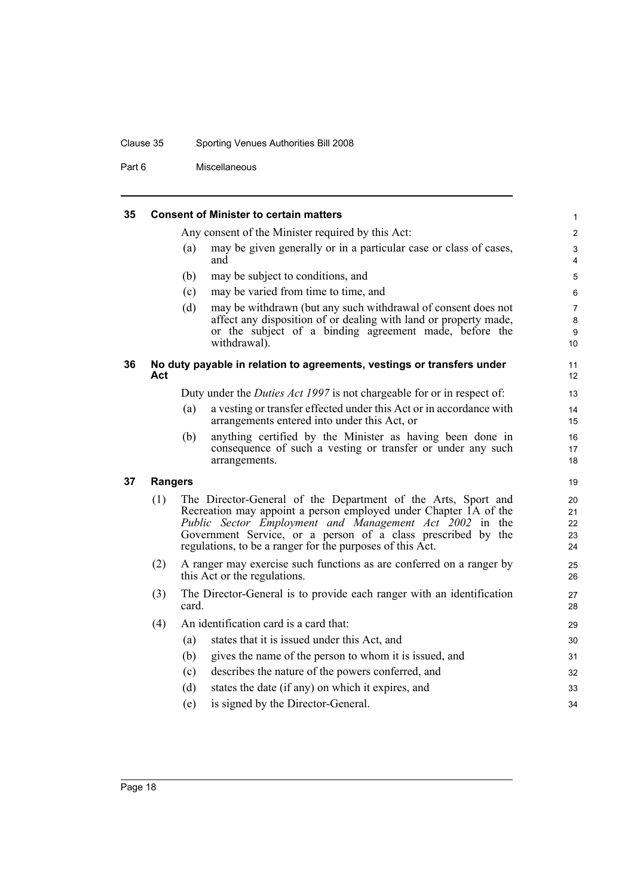#### Clause 35 Sporting Venues Authorities Bill 2008

Part 6 Miscellaneous

#### <span id="page-27-0"></span>**35 Consent of Minister to certain matters**

Any consent of the Minister required by this Act:

(a) may be given generally or in a particular case or class of cases, and

- (b) may be subject to conditions, and
- (c) may be varied from time to time, and
- (d) may be withdrawn (but any such withdrawal of consent does not affect any disposition of or dealing with land or property made, or the subject of a binding agreement made, before the withdrawal).

#### <span id="page-27-1"></span>**36 No duty payable in relation to agreements, vestings or transfers under Act**

Duty under the *Duties Act 1997* is not chargeable for or in respect of:

- (a) a vesting or transfer effected under this Act or in accordance with arrangements entered into under this Act, or
- (b) anything certified by the Minister as having been done in consequence of such a vesting or transfer or under any such arrangements.

#### <span id="page-27-2"></span>**37 Rangers**

- (1) The Director-General of the Department of the Arts, Sport and Recreation may appoint a person employed under Chapter 1A of the *Public Sector Employment and Management Act 2002* in the Government Service, or a person of a class prescribed by the regulations, to be a ranger for the purposes of this Act.
- (2) A ranger may exercise such functions as are conferred on a ranger by this Act or the regulations.
- (3) The Director-General is to provide each ranger with an identification card.

| (4) |     | An identification card is a card that:                 | 29 |
|-----|-----|--------------------------------------------------------|----|
|     | (a) | states that it is issued under this Act, and           | 30 |
|     | (b) | gives the name of the person to whom it is issued, and | 31 |
|     | (C) | describes the nature of the powers conferred, and      | 32 |
|     | (d) | states the date (if any) on which it expires, and      | 33 |
|     | (e) | is signed by the Director-General.                     | 34 |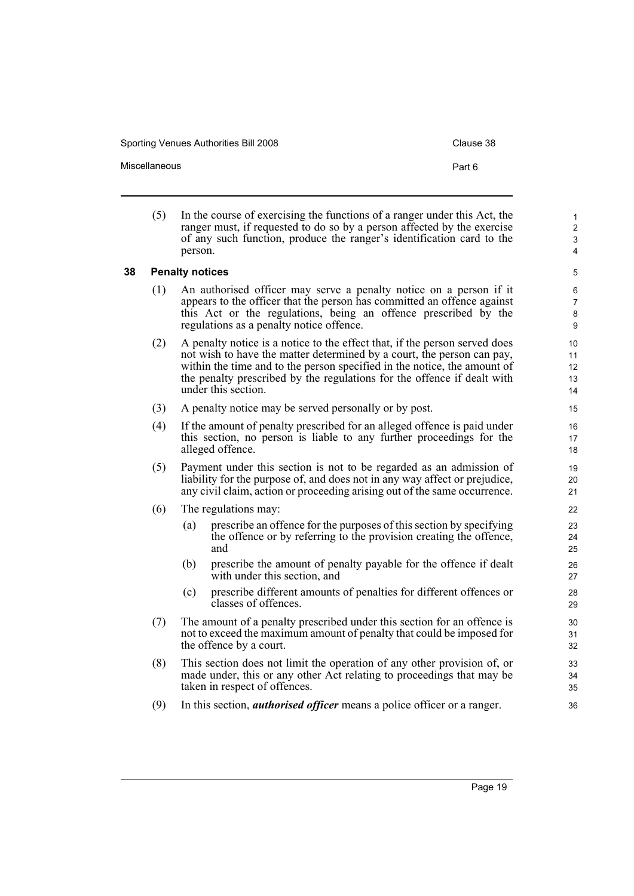Sporting Venues Authorities Bill 2008 Contract Clause 38

| Part 6 |
|--------|
|        |

(5) In the course of exercising the functions of a ranger under this Act, the ranger must, if requested to do so by a person affected by the exercise of any such function, produce the ranger's identification card to the person.

> 5 6

## <span id="page-28-0"></span>**38 Penalty notices**

- (1) An authorised officer may serve a penalty notice on a person if it appears to the officer that the person has committed an offence against this Act or the regulations, being an offence prescribed by the regulations as a penalty notice offence.
- (2) A penalty notice is a notice to the effect that, if the person served does not wish to have the matter determined by a court, the person can pay, within the time and to the person specified in the notice, the amount of the penalty prescribed by the regulations for the offence if dealt with under this section.
- (3) A penalty notice may be served personally or by post.
- (4) If the amount of penalty prescribed for an alleged offence is paid under this section, no person is liable to any further proceedings for the alleged offence.
- (5) Payment under this section is not to be regarded as an admission of liability for the purpose of, and does not in any way affect or prejudice, any civil claim, action or proceeding arising out of the same occurrence.
- (6) The regulations may:
	- (a) prescribe an offence for the purposes of this section by specifying the offence or by referring to the provision creating the offence, and
	- (b) prescribe the amount of penalty payable for the offence if dealt with under this section, and
	- (c) prescribe different amounts of penalties for different offences or classes of offences.
- (7) The amount of a penalty prescribed under this section for an offence is not to exceed the maximum amount of penalty that could be imposed for the offence by a court.
- (8) This section does not limit the operation of any other provision of, or made under, this or any other Act relating to proceedings that may be taken in respect of offences.
- (9) In this section, *authorised officer* means a police officer or a ranger.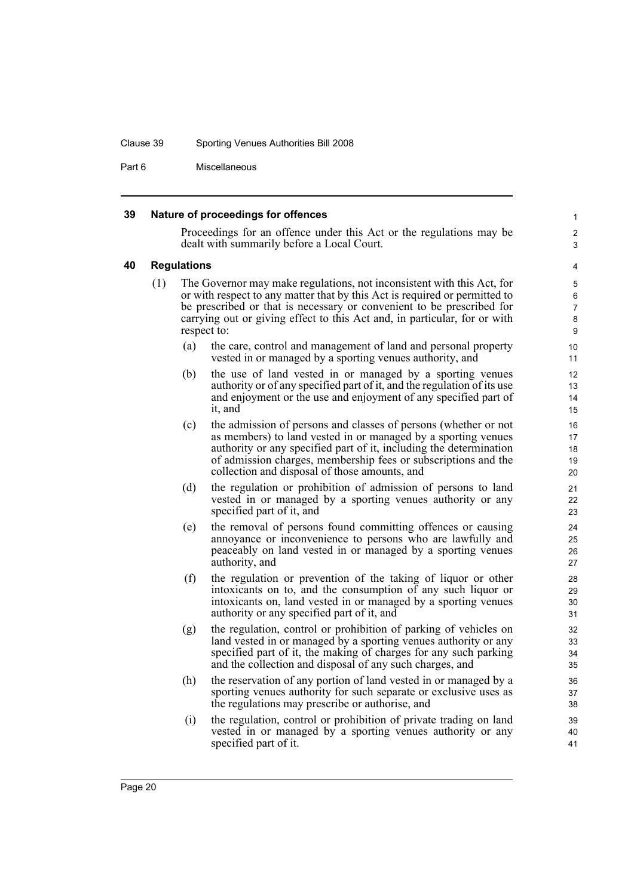#### Clause 39 Sporting Venues Authorities Bill 2008

Part 6 Miscellaneous

#### <span id="page-29-0"></span>**39 Nature of proceedings for offences**

Proceedings for an offence under this Act or the regulations may be dealt with summarily before a Local Court.

#### <span id="page-29-1"></span>**40 Regulations**

- (1) The Governor may make regulations, not inconsistent with this Act, for or with respect to any matter that by this Act is required or permitted to be prescribed or that is necessary or convenient to be prescribed for carrying out or giving effect to this Act and, in particular, for or with respect to:
	- (a) the care, control and management of land and personal property vested in or managed by a sporting venues authority, and
	- (b) the use of land vested in or managed by a sporting venues authority or of any specified part of it, and the regulation of its use and enjoyment or the use and enjoyment of any specified part of it, and
	- (c) the admission of persons and classes of persons (whether or not as members) to land vested in or managed by a sporting venues authority or any specified part of it, including the determination of admission charges, membership fees or subscriptions and the collection and disposal of those amounts, and
	- (d) the regulation or prohibition of admission of persons to land vested in or managed by a sporting venues authority or any specified part of it, and
	- (e) the removal of persons found committing offences or causing annoyance or inconvenience to persons who are lawfully and peaceably on land vested in or managed by a sporting venues authority, and
	- (f) the regulation or prevention of the taking of liquor or other intoxicants on to, and the consumption of any such liquor or intoxicants on, land vested in or managed by a sporting venues authority or any specified part of it, and
	- (g) the regulation, control or prohibition of parking of vehicles on land vested in or managed by a sporting venues authority or any specified part of it, the making of charges for any such parking and the collection and disposal of any such charges, and
	- (h) the reservation of any portion of land vested in or managed by a sporting venues authority for such separate or exclusive uses as the regulations may prescribe or authorise, and
	- (i) the regulation, control or prohibition of private trading on land vested in or managed by a sporting venues authority or any specified part of it.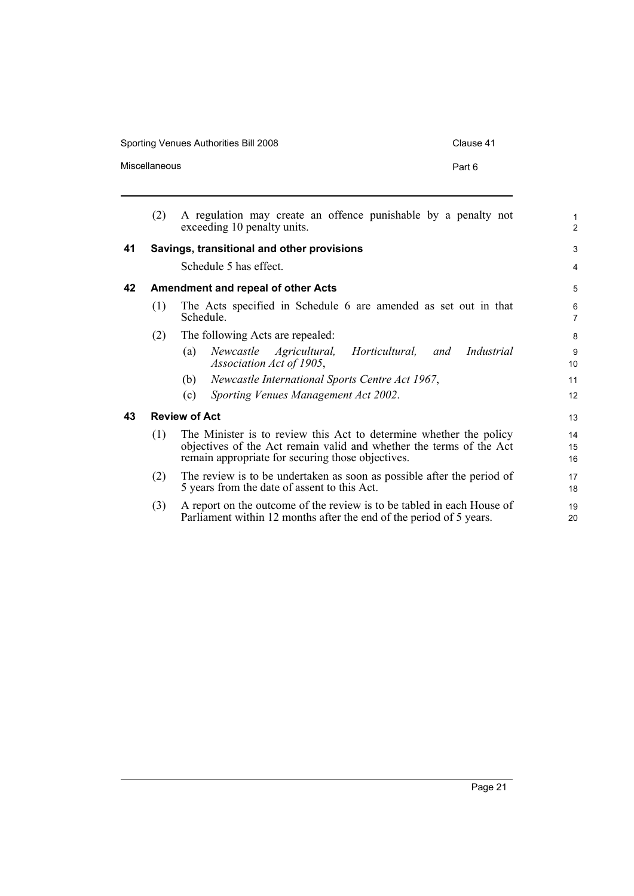Sporting Venues Authorities Bill 2008 Clause 41

20

<span id="page-30-1"></span><span id="page-30-0"></span>

|    | (2) | A regulation may create an offence punishable by a penalty not<br>exceeding 10 penalty units.                                                                                                  | $\mathbf{1}$<br>$\overline{2}$ |
|----|-----|------------------------------------------------------------------------------------------------------------------------------------------------------------------------------------------------|--------------------------------|
| 41 |     | Savings, transitional and other provisions                                                                                                                                                     | 3                              |
|    |     | Schedule 5 has effect.                                                                                                                                                                         | 4                              |
| 42 |     | Amendment and repeal of other Acts                                                                                                                                                             | 5                              |
|    | (1) | The Acts specified in Schedule 6 are amended as set out in that<br>Schedule.                                                                                                                   | 6<br>$\overline{7}$            |
|    | (2) | The following Acts are repealed:                                                                                                                                                               | 8                              |
|    |     | Industrial<br>Agricultural, Horticultural,<br>Newcastle<br>(a)<br>and<br>Association Act of 1905,                                                                                              | 9<br>10                        |
|    |     | Newcastle International Sports Centre Act 1967,<br>(b)                                                                                                                                         | 11                             |
|    |     | Sporting Venues Management Act 2002.<br>(c)                                                                                                                                                    | 12                             |
| 43 |     | <b>Review of Act</b>                                                                                                                                                                           | 13                             |
|    | (1) | The Minister is to review this Act to determine whether the policy<br>objectives of the Act remain valid and whether the terms of the Act<br>remain appropriate for securing those objectives. | 14<br>15<br>16                 |
|    | (2) | The review is to be undertaken as soon as possible after the period of<br>5 years from the date of assent to this Act.                                                                         | 17<br>18                       |
|    | (3) | A report on the outcome of the review is to be tabled in each House of                                                                                                                         | 19                             |

<span id="page-30-2"></span>Parliament within 12 months after the end of the period of 5 years.

Miscellaneous **Part 6**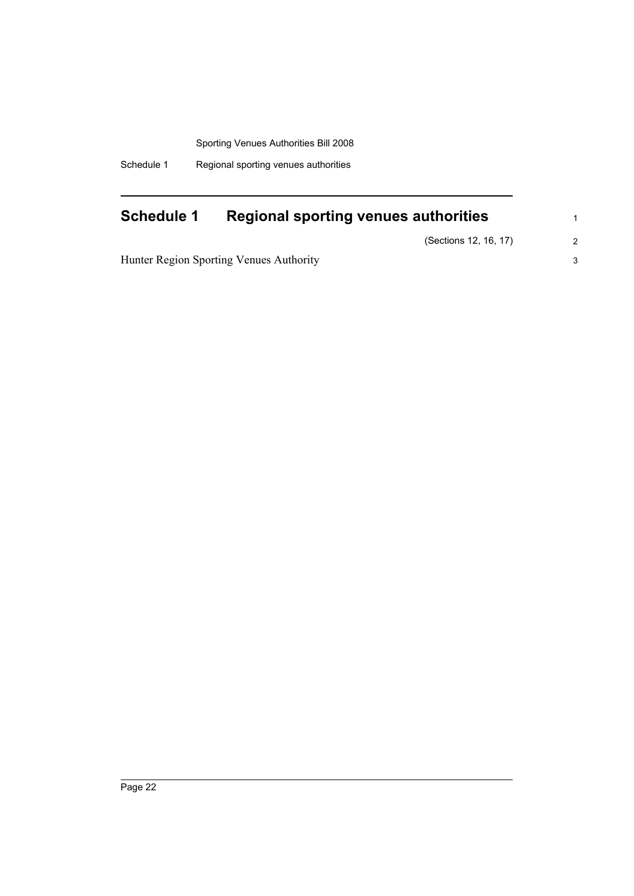Schedule 1 Regional sporting venues authorities

## <span id="page-31-0"></span>**Schedule 1 Regional sporting venues authorities**

(Sections 12, 16, 17)

Hunter Region Sporting Venues Authority

2 3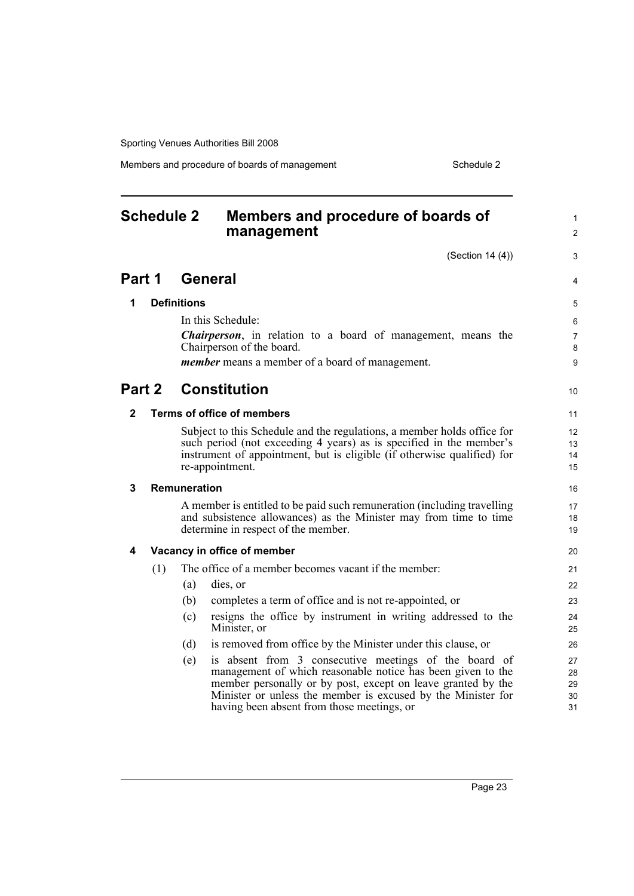Members and procedure of boards of management Schedule 2

#### <span id="page-32-0"></span>**Schedule 2 Members and procedure of boards of management** (Section 14 (4)) **Part 1 General 1 Definitions** In this Schedule: *Chairperson*, in relation to a board of management, means the Chairperson of the board. *member* means a member of a board of management. **Part 2 Constitution 2 Terms of office of members** Subject to this Schedule and the regulations, a member holds office for such period (not exceeding 4 years) as is specified in the member's instrument of appointment, but is eligible (if otherwise qualified) for re-appointment. **3 Remuneration** A member is entitled to be paid such remuneration (including travelling and subsistence allowances) as the Minister may from time to time determine in respect of the member. **4 Vacancy in office of member** (1) The office of a member becomes vacant if the member: (a) dies, or (b) completes a term of office and is not re-appointed, or (c) resigns the office by instrument in writing addressed to the Minister, or (d) is removed from office by the Minister under this clause, or (e) is absent from 3 consecutive meetings of the board of management of which reasonable notice has been given to the member personally or by post, except on leave granted by the Minister or unless the member is excused by the Minister for 1  $\mathfrak{p}$ 3 4 5 6 7 8  $\alpha$ 10 11 12 13 14 15 16 17 18 19 20  $21$ 22 23 24 25 26 27 28 29 30

having been absent from those meetings, or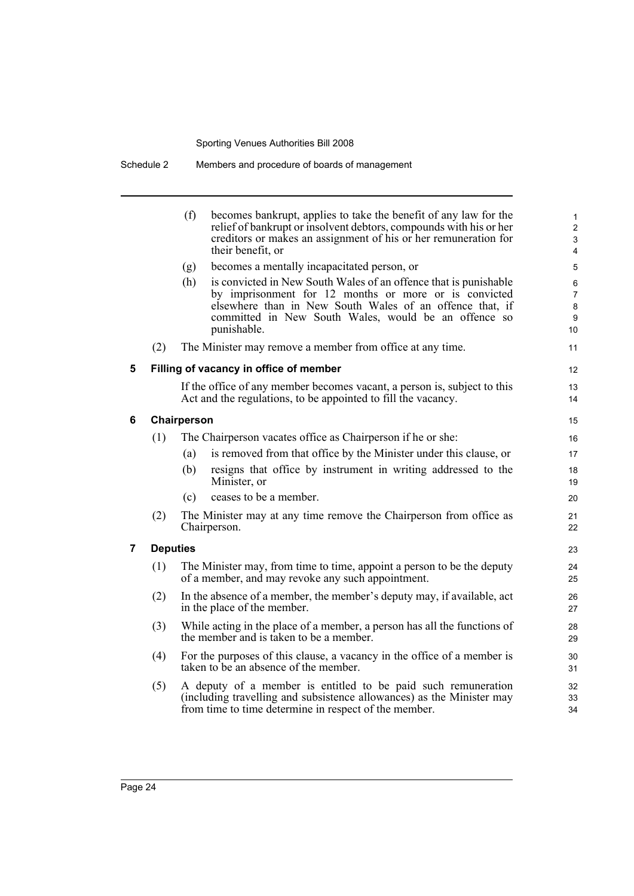Schedule 2 Members and procedure of boards of management

|   |                 | (f)<br>becomes bankrupt, applies to take the benefit of any law for the<br>relief of bankrupt or insolvent debtors, compounds with his or her<br>creditors or makes an assignment of his or her remuneration for<br>their benefit, or                               | 1<br>$\overline{c}$<br>3<br>4 |
|---|-----------------|---------------------------------------------------------------------------------------------------------------------------------------------------------------------------------------------------------------------------------------------------------------------|-------------------------------|
|   |                 | becomes a mentally incapacitated person, or<br>(g)                                                                                                                                                                                                                  | 5                             |
|   |                 | (h)<br>is convicted in New South Wales of an offence that is punishable<br>by imprisonment for 12 months or more or is convicted<br>elsewhere than in New South Wales of an offence that, if<br>committed in New South Wales, would be an offence so<br>punishable. | 6<br>7<br>8<br>9<br>10        |
|   | (2)             | The Minister may remove a member from office at any time.                                                                                                                                                                                                           | 11                            |
| 5 |                 | Filling of vacancy in office of member                                                                                                                                                                                                                              | 12                            |
|   |                 | If the office of any member becomes vacant, a person is, subject to this<br>Act and the regulations, to be appointed to fill the vacancy.                                                                                                                           | 13<br>14                      |
| 6 |                 | Chairperson                                                                                                                                                                                                                                                         | 15                            |
|   | (1)             | The Chairperson vacates office as Chairperson if he or she:                                                                                                                                                                                                         | 16                            |
|   |                 | is removed from that office by the Minister under this clause, or<br>(a)                                                                                                                                                                                            | 17                            |
|   |                 | (b)<br>resigns that office by instrument in writing addressed to the<br>Minister, or                                                                                                                                                                                | 18<br>19                      |
|   |                 | ceases to be a member.<br>(c)                                                                                                                                                                                                                                       | 20                            |
|   | (2)             | The Minister may at any time remove the Chairperson from office as<br>Chairperson.                                                                                                                                                                                  | 21<br>22                      |
| 7 | <b>Deputies</b> |                                                                                                                                                                                                                                                                     | 23                            |
|   | (1)             | The Minister may, from time to time, appoint a person to be the deputy<br>of a member, and may revoke any such appointment.                                                                                                                                         | 24<br>25                      |
|   | (2)             | In the absence of a member, the member's deputy may, if available, act<br>in the place of the member.                                                                                                                                                               | 26<br>27                      |
|   | (3)             | While acting in the place of a member, a person has all the functions of<br>the member and is taken to be a member.                                                                                                                                                 | 28<br>29                      |
|   | (4)             | For the purposes of this clause, a vacancy in the office of a member is<br>taken to be an absence of the member.                                                                                                                                                    | 30<br>31                      |
|   | (5)             | A deputy of a member is entitled to be paid such remuneration<br>(including travelling and subsistence allowances) as the Minister may<br>from time to time determine in respect of the member.                                                                     | 32<br>33<br>34                |
|   |                 |                                                                                                                                                                                                                                                                     |                               |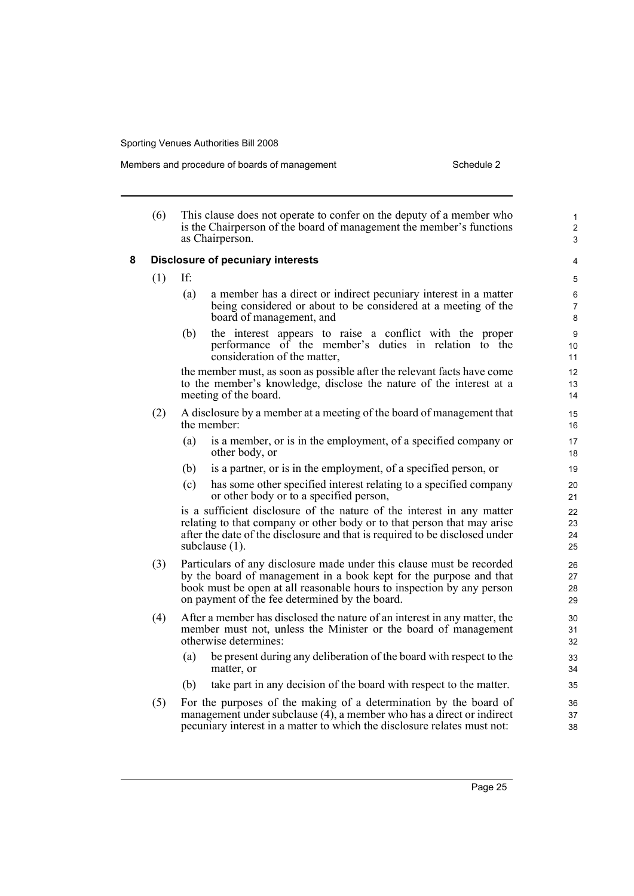Members and procedure of boards of management Schedule 2

|   | (6) |     | This clause does not operate to confer on the deputy of a member who<br>is the Chairperson of the board of management the member's functions<br>as Chairperson.                                                                                                        | $\mathbf{1}$<br>$\overline{c}$<br>$\mathfrak{S}$ |
|---|-----|-----|------------------------------------------------------------------------------------------------------------------------------------------------------------------------------------------------------------------------------------------------------------------------|--------------------------------------------------|
| 8 |     |     | <b>Disclosure of pecuniary interests</b>                                                                                                                                                                                                                               | 4                                                |
|   | (1) | If: |                                                                                                                                                                                                                                                                        | 5                                                |
|   |     | (a) | a member has a direct or indirect pecuniary interest in a matter<br>being considered or about to be considered at a meeting of the<br>board of management, and                                                                                                         | 6<br>$\overline{7}$<br>8                         |
|   |     | (b) | the interest appears to raise a conflict with the proper<br>performance of the member's duties in relation to the<br>consideration of the matter,                                                                                                                      | 9<br>10<br>11                                    |
|   |     |     | the member must, as soon as possible after the relevant facts have come<br>to the member's knowledge, disclose the nature of the interest at a<br>meeting of the board.                                                                                                | 12<br>13<br>14                                   |
|   | (2) |     | A disclosure by a member at a meeting of the board of management that<br>the member:                                                                                                                                                                                   | 15<br>16                                         |
|   |     | (a) | is a member, or is in the employment, of a specified company or<br>other body, or                                                                                                                                                                                      | 17<br>18                                         |
|   |     | (b) | is a partner, or is in the employment, of a specified person, or                                                                                                                                                                                                       | 19                                               |
|   |     | (c) | has some other specified interest relating to a specified company<br>or other body or to a specified person,                                                                                                                                                           | 20<br>21                                         |
|   |     |     | is a sufficient disclosure of the nature of the interest in any matter<br>relating to that company or other body or to that person that may arise<br>after the date of the disclosure and that is required to be disclosed under<br>subclause (1).                     | 22<br>23<br>24<br>25                             |
|   | (3) |     | Particulars of any disclosure made under this clause must be recorded<br>by the board of management in a book kept for the purpose and that<br>book must be open at all reasonable hours to inspection by any person<br>on payment of the fee determined by the board. | 26<br>27<br>28<br>29                             |
|   | (4) |     | After a member has disclosed the nature of an interest in any matter, the<br>member must not, unless the Minister or the board of management<br>otherwise determines:                                                                                                  | 30<br>31<br>32                                   |
|   |     | (a) | be present during any deliberation of the board with respect to the<br>matter, or                                                                                                                                                                                      | 33<br>34                                         |
|   |     | (b) | take part in any decision of the board with respect to the matter.                                                                                                                                                                                                     | 35                                               |
|   | (5) |     | For the purposes of the making of a determination by the board of<br>management under subclause (4), a member who has a direct or indirect                                                                                                                             | 36<br>37                                         |

pecuniary interest in a matter to which the disclosure relates must not: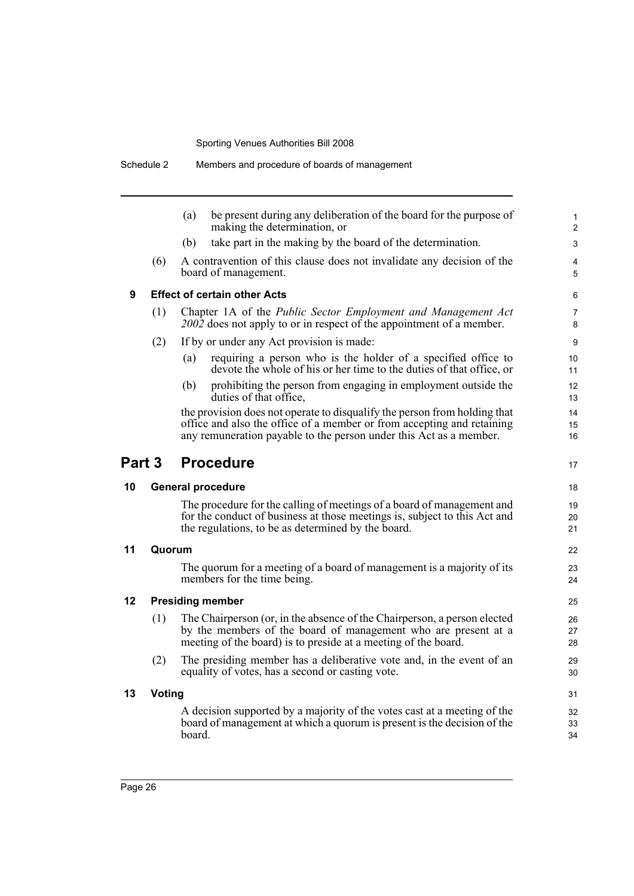|        |               | be present during any deliberation of the board for the purpose of<br>(a)<br>making the determination, or                                                                                                    |
|--------|---------------|--------------------------------------------------------------------------------------------------------------------------------------------------------------------------------------------------------------|
|        |               | take part in the making by the board of the determination.<br>(b)                                                                                                                                            |
|        | (6)           | A contravention of this clause does not invalidate any decision of the<br>board of management.                                                                                                               |
| 9      |               | <b>Effect of certain other Acts</b>                                                                                                                                                                          |
|        | (1)           | Chapter 1A of the Public Sector Employment and Management Act<br>2002 does not apply to or in respect of the appointment of a member.                                                                        |
|        | (2)           | If by or under any Act provision is made:                                                                                                                                                                    |
|        |               | requiring a person who is the holder of a specified office to<br>(a)<br>devote the whole of his or her time to the duties of that office, or                                                                 |
|        |               | (b)<br>prohibiting the person from engaging in employment outside the<br>duties of that office.                                                                                                              |
|        |               | the provision does not operate to disqualify the person from holding that                                                                                                                                    |
|        |               | office and also the office of a member or from accepting and retaining<br>any remuneration payable to the person under this Act as a member.                                                                 |
| Part 3 |               | <b>Procedure</b>                                                                                                                                                                                             |
| 10     |               | <b>General procedure</b>                                                                                                                                                                                     |
|        |               | The procedure for the calling of meetings of a board of management and<br>for the conduct of business at those meetings is, subject to this Act and<br>the regulations, to be as determined by the board.    |
| 11     | Quorum        |                                                                                                                                                                                                              |
|        |               | The quorum for a meeting of a board of management is a majority of its<br>members for the time being.                                                                                                        |
| 12     |               | <b>Presiding member</b>                                                                                                                                                                                      |
|        | (1)           | The Chairperson (or, in the absence of the Chairperson, a person elected<br>by the members of the board of management who are present at a<br>meeting of the board) is to preside at a meeting of the board. |
|        | (2)           | The presiding member has a deliberative vote and, in the event of an<br>equality of votes, has a second or casting vote.                                                                                     |
|        |               |                                                                                                                                                                                                              |
| 13     | <b>Voting</b> |                                                                                                                                                                                                              |

Schedule 2 Members and procedure of boards of management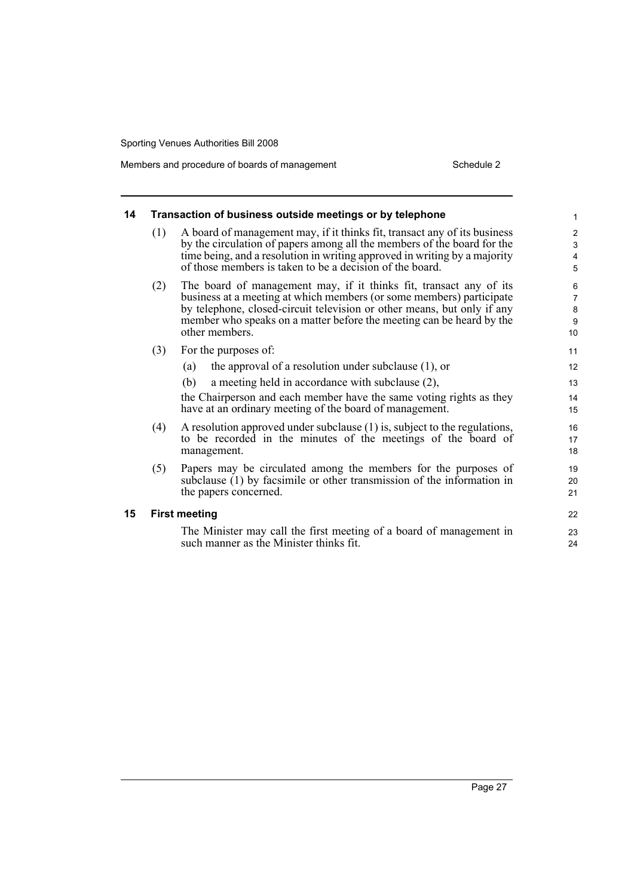Members and procedure of boards of management Schedule 2

| 14 | Transaction of business outside meetings or by telephone |                                                                                                                                                                                                                                                                                                                 |                                                                 |
|----|----------------------------------------------------------|-----------------------------------------------------------------------------------------------------------------------------------------------------------------------------------------------------------------------------------------------------------------------------------------------------------------|-----------------------------------------------------------------|
|    | (1)                                                      | A board of management may, if it thinks fit, transact any of its business<br>by the circulation of papers among all the members of the board for the<br>time being, and a resolution in writing approved in writing by a majority<br>of those members is taken to be a decision of the board.                   | $\mathbf{2}$<br>$\mathfrak{S}$<br>$\overline{4}$<br>$\mathbf 5$ |
|    | (2)                                                      | The board of management may, if it thinks fit, transact any of its<br>business at a meeting at which members (or some members) participate<br>by telephone, closed-circuit television or other means, but only if any<br>member who speaks on a matter before the meeting can be heard by the<br>other members. | 6<br>$\overline{7}$<br>$\bf 8$<br>9<br>10                       |
|    | (3)                                                      | For the purposes of:<br>the approval of a resolution under subclause $(1)$ , or<br>(a)<br>a meeting held in accordance with subclause (2),<br>(b)<br>the Chairperson and each member have the same voting rights as they<br>have at an ordinary meeting of the board of management.                             | 11<br>12<br>13<br>14<br>15                                      |
|    | (4)                                                      | A resolution approved under subclause (1) is, subject to the regulations,<br>to be recorded in the minutes of the meetings of the board of<br>management.                                                                                                                                                       | 16<br>17<br>18                                                  |
|    | (5)                                                      | Papers may be circulated among the members for the purposes of<br>subclause $(1)$ by facsimile or other transmission of the information in<br>the papers concerned.                                                                                                                                             | 19<br>20<br>21                                                  |
| 15 | <b>First meeting</b>                                     |                                                                                                                                                                                                                                                                                                                 |                                                                 |
|    |                                                          | The Minister may call the first meeting of a board of management in<br>such manner as the Minister thinks fit.                                                                                                                                                                                                  | 23<br>24                                                        |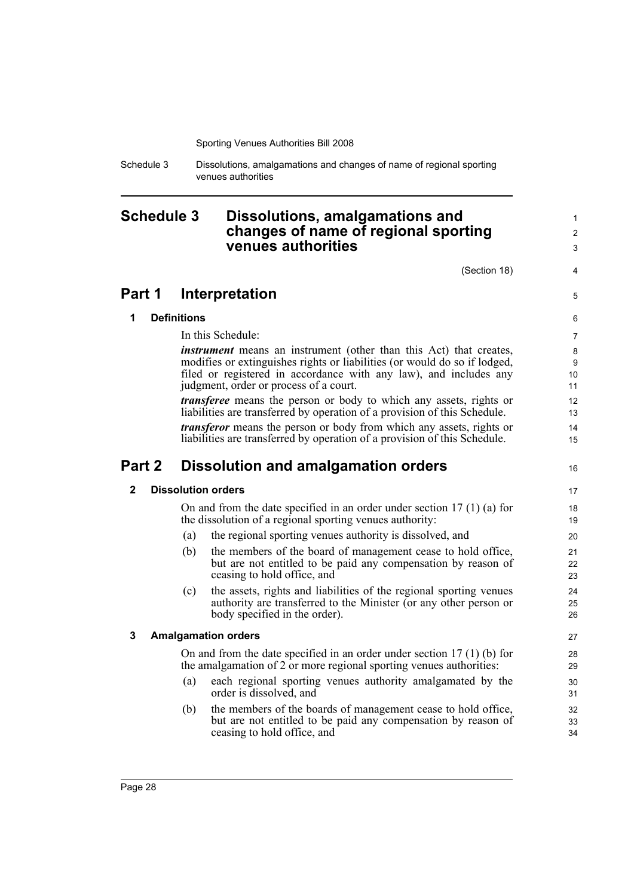Schedule 3 Dissolutions, amalgamations and changes of name of regional sporting venues authorities

## <span id="page-37-0"></span>**Schedule 3 Dissolutions, amalgamations and changes of name of regional sporting venues authorities**

(Section 18)

4 5

16

1  $\mathfrak{p}$ 3

## **Part 1 Interpretation**

### **1 Definitions**

In this Schedule:

*instrument* means an instrument (other than this Act) that creates, modifies or extinguishes rights or liabilities (or would do so if lodged, filed or registered in accordance with any law), and includes any judgment, order or process of a court.

*transferee* means the person or body to which any assets, rights or liabilities are transferred by operation of a provision of this Schedule.

*transferor* means the person or body from which any assets, rights or liabilities are transferred by operation of a provision of this Schedule.

## **Part 2 Dissolution and amalgamation orders**

### **2 Dissolution orders**

On and from the date specified in an order under section 17 (1) (a) for the dissolution of a regional sporting venues authority:

- (a) the regional sporting venues authority is dissolved, and
- (b) the members of the board of management cease to hold office, but are not entitled to be paid any compensation by reason of ceasing to hold office, and
- (c) the assets, rights and liabilities of the regional sporting venues authority are transferred to the Minister (or any other person or body specified in the order).

### **3 Amalgamation orders**

On and from the date specified in an order under section 17 (1) (b) for the amalgamation of 2 or more regional sporting venues authorities:

- (a) each regional sporting venues authority amalgamated by the order is dissolved, and
- (b) the members of the boards of management cease to hold office, but are not entitled to be paid any compensation by reason of ceasing to hold office, and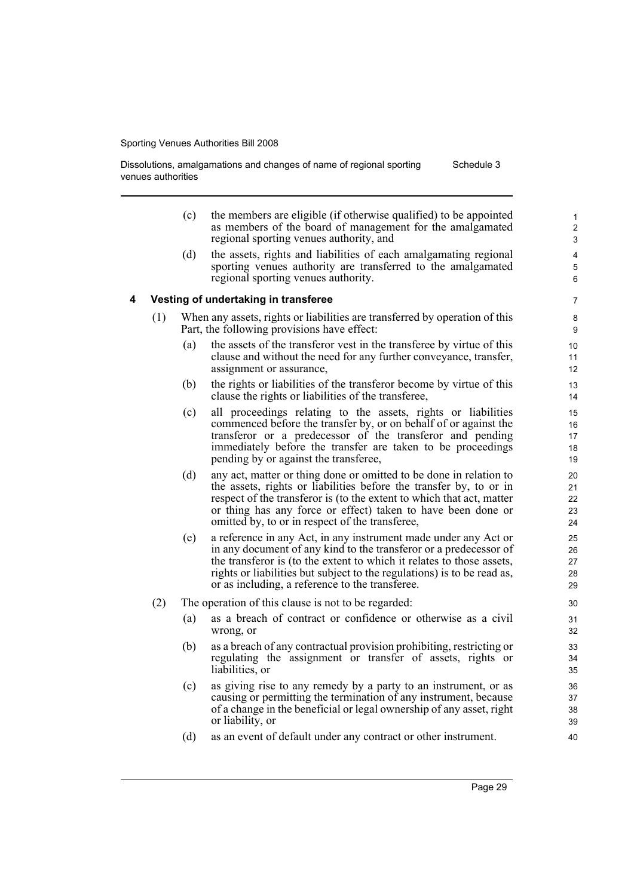Dissolutions, amalgamations and changes of name of regional sporting venues authorities Schedule 3

- (c) the members are eligible (if otherwise qualified) to be appointed as members of the board of management for the amalgamated regional sporting venues authority, and
- (d) the assets, rights and liabilities of each amalgamating regional sporting venues authority are transferred to the amalgamated regional sporting venues authority.

#### **4 Vesting of undertaking in transferee**

- (1) When any assets, rights or liabilities are transferred by operation of this Part, the following provisions have effect:
	- (a) the assets of the transferor vest in the transferee by virtue of this clause and without the need for any further conveyance, transfer, assignment or assurance,
	- (b) the rights or liabilities of the transferor become by virtue of this clause the rights or liabilities of the transferee,
	- (c) all proceedings relating to the assets, rights or liabilities commenced before the transfer by, or on behalf of or against the transferor or a predecessor of the transferor and pending immediately before the transfer are taken to be proceedings pending by or against the transferee,
	- (d) any act, matter or thing done or omitted to be done in relation to the assets, rights or liabilities before the transfer by, to or in respect of the transferor is (to the extent to which that act, matter or thing has any force or effect) taken to have been done or omitted by, to or in respect of the transferee,
	- (e) a reference in any Act, in any instrument made under any Act or in any document of any kind to the transferor or a predecessor of the transferor is (to the extent to which it relates to those assets, rights or liabilities but subject to the regulations) is to be read as, or as including, a reference to the transferee.
- (2) The operation of this clause is not to be regarded:
	- (a) as a breach of contract or confidence or otherwise as a civil wrong, or
	- (b) as a breach of any contractual provision prohibiting, restricting or regulating the assignment or transfer of assets, rights or liabilities, or
	- (c) as giving rise to any remedy by a party to an instrument, or as causing or permitting the termination of any instrument, because of a change in the beneficial or legal ownership of any asset, right or liability, or
	- (d) as an event of default under any contract or other instrument.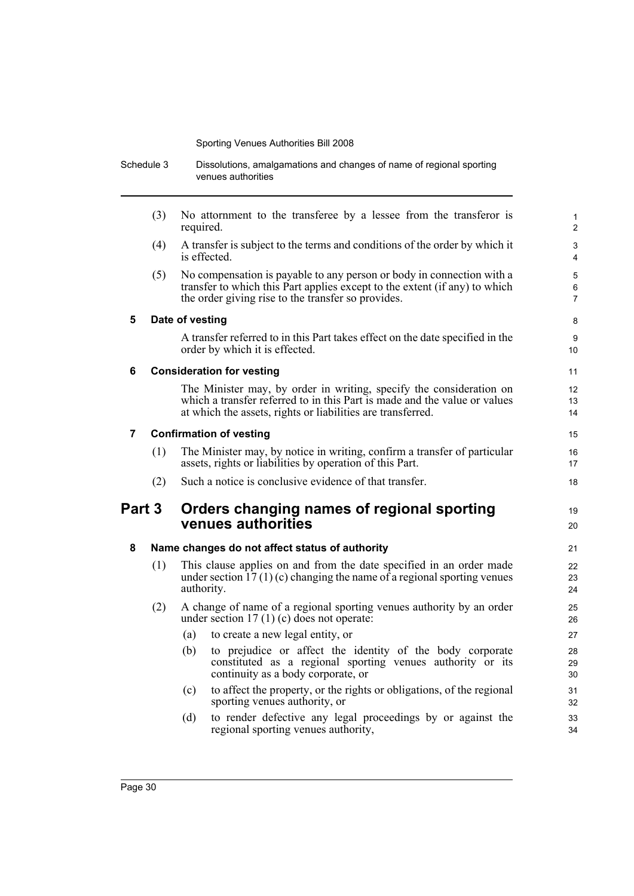|        | Schedule 3      | Dissolutions, amalgamations and changes of name of regional sporting<br>venues authorities                                                                                                                      |                          |  |
|--------|-----------------|-----------------------------------------------------------------------------------------------------------------------------------------------------------------------------------------------------------------|--------------------------|--|
|        | (3)             | No attornment to the transferee by a lessee from the transferor is<br>required.                                                                                                                                 | 1<br>$\overline{c}$      |  |
|        | (4)             | A transfer is subject to the terms and conditions of the order by which it<br>is effected.                                                                                                                      | 3<br>4                   |  |
|        | (5)             | No compensation is payable to any person or body in connection with a<br>transfer to which this Part applies except to the extent (if any) to which<br>the order giving rise to the transfer so provides.       | 5<br>6<br>$\overline{7}$ |  |
| 5      | Date of vesting |                                                                                                                                                                                                                 |                          |  |
|        |                 | A transfer referred to in this Part takes effect on the date specified in the<br>order by which it is effected.                                                                                                 | 9<br>10                  |  |
| 6      |                 | <b>Consideration for vesting</b>                                                                                                                                                                                | 11                       |  |
|        |                 | The Minister may, by order in writing, specify the consideration on<br>which a transfer referred to in this Part is made and the value or values<br>at which the assets, rights or liabilities are transferred. | 12<br>13<br>14           |  |
| 7      |                 | <b>Confirmation of vesting</b>                                                                                                                                                                                  | 15                       |  |
|        | (1)             | The Minister may, by notice in writing, confirm a transfer of particular<br>assets, rights or liabilities by operation of this Part.                                                                            | 16<br>17                 |  |
|        | (2)             | Such a notice is conclusive evidence of that transfer.                                                                                                                                                          | 18                       |  |
| Part 3 |                 | Orders changing names of regional sporting<br>venues authorities                                                                                                                                                | 19<br>20                 |  |
| 8      |                 | Name changes do not affect status of authority                                                                                                                                                                  | 21                       |  |
|        | (1)             | This clause applies on and from the date specified in an order made<br>under section $\hat{17}(1)(c)$ changing the name of a regional sporting venues<br>authority.                                             | 22<br>23<br>24           |  |
|        | (2)             | A change of name of a regional sporting venues authority by an order<br>under section $17(1)(c)$ does not operate:                                                                                              | 25<br>26                 |  |
|        |                 | to create a new legal entity, or<br>(a)                                                                                                                                                                         | 27                       |  |
|        |                 | to prejudice or affect the identity of the body corporate<br>(b)<br>constituted as a regional sporting venues authority or its<br>continuity as a body corporate, or                                            | 28<br>29<br>30           |  |
|        |                 | to affect the property, or the rights or obligations, of the regional<br>(c)<br>sporting venues authority, or                                                                                                   | 31<br>32                 |  |
|        |                 | to render defective any legal proceedings by or against the<br>(d)<br>regional sporting venues authority,                                                                                                       | 33<br>34                 |  |
|        |                 |                                                                                                                                                                                                                 |                          |  |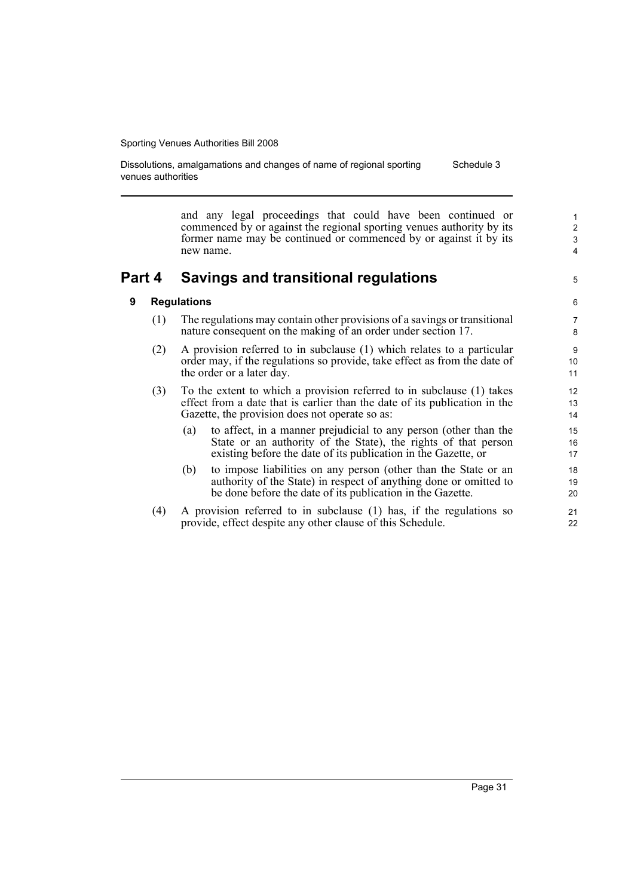Dissolutions, amalgamations and changes of name of regional sporting venues authorities Schedule 3

> and any legal proceedings that could have been continued or commenced by or against the regional sporting venues authority by its former name may be continued or commenced by or against it by its new name.

## **Part 4 Savings and transitional regulations**

#### **9 Regulations**

- (1) The regulations may contain other provisions of a savings or transitional nature consequent on the making of an order under section 17.
- (2) A provision referred to in subclause (1) which relates to a particular order may, if the regulations so provide, take effect as from the date of the order or a later day.
- (3) To the extent to which a provision referred to in subclause (1) takes effect from a date that is earlier than the date of its publication in the Gazette, the provision does not operate so as:
	- (a) to affect, in a manner prejudicial to any person (other than the State or an authority of the State), the rights of that person existing before the date of its publication in the Gazette, or
	- (b) to impose liabilities on any person (other than the State or an authority of the State) in respect of anything done or omitted to be done before the date of its publication in the Gazette.
- (4) A provision referred to in subclause (1) has, if the regulations so provide, effect despite any other clause of this Schedule.

5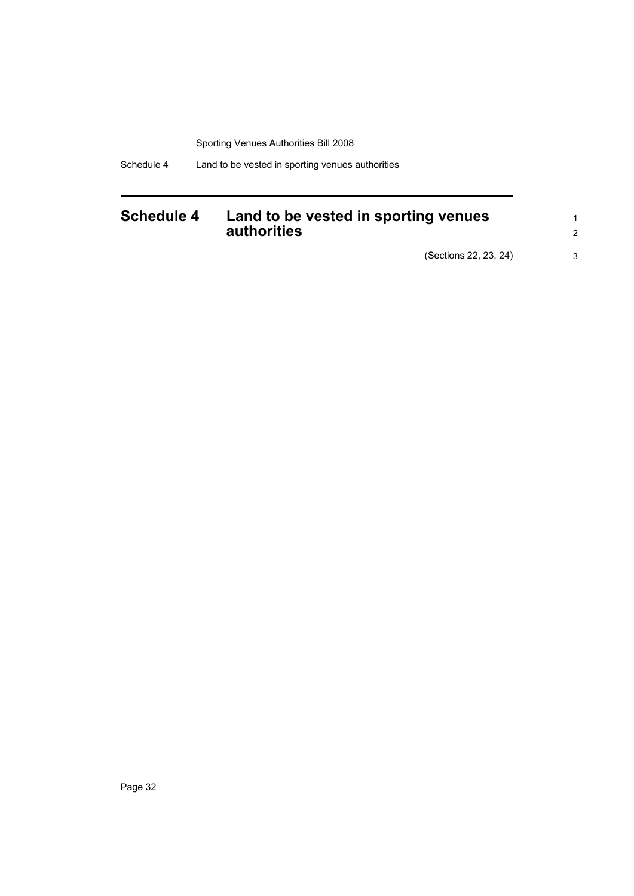Schedule 4 Land to be vested in sporting venues authorities

## <span id="page-41-0"></span>**Schedule 4 Land to be vested in sporting venues authorities**

(Sections 22, 23, 24) 3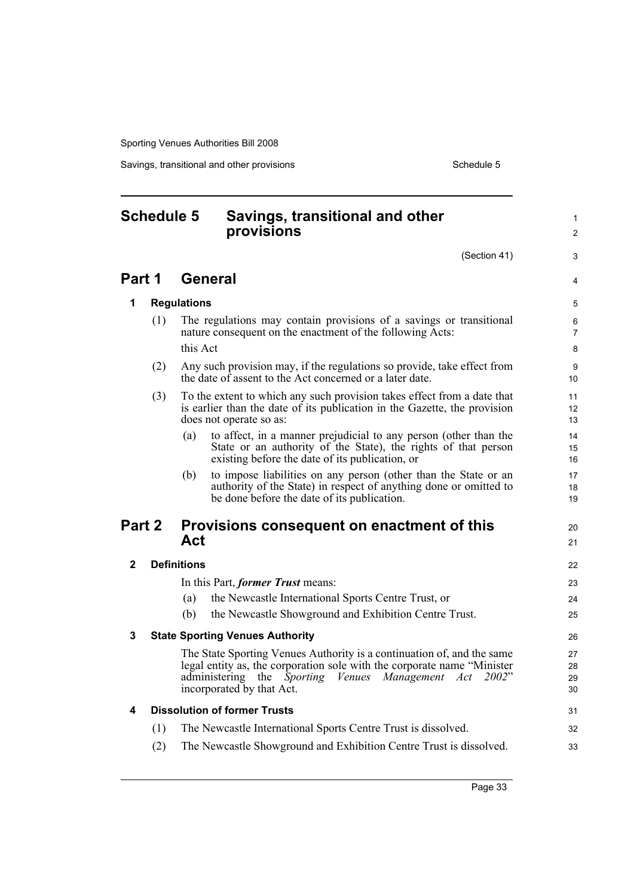Savings, transitional and other provisions Schedule 5

#### <span id="page-42-0"></span>**Schedule 5 Savings, transitional and other provisions** (Section 41) **Part 1 General 1 Regulations** (1) The regulations may contain provisions of a savings or transitional nature consequent on the enactment of the following Acts: this Act (2) Any such provision may, if the regulations so provide, take effect from the date of assent to the Act concerned or a later date. (3) To the extent to which any such provision takes effect from a date that is earlier than the date of its publication in the Gazette, the provision does not operate so as: (a) to affect, in a manner prejudicial to any person (other than the State or an authority of the State), the rights of that person existing before the date of its publication, or (b) to impose liabilities on any person (other than the State or an authority of the State) in respect of anything done or omitted to be done before the date of its publication. **Part 2 Provisions consequent on enactment of this Act 2 Definitions** In this Part, *former Trust* means: (a) the Newcastle International Sports Centre Trust, or (b) the Newcastle Showground and Exhibition Centre Trust. **3 State Sporting Venues Authority** The State Sporting Venues Authority is a continuation of, and the same legal entity as, the corporation sole with the corporate name "Minister administering the *Sporting Venues Management Act 2002*" incorporated by that Act. **4 Dissolution of former Trusts** (1) The Newcastle International Sports Centre Trust is dissolved. (2) The Newcastle Showground and Exhibition Centre Trust is dissolved. 1  $\mathfrak{p}$ 3 4 5 6 7 8 9 10 11 12 13 14 15 16 17 18 19  $20$ 21 22 23 24 25 26 27 28 29 30 31 32 33

Page 33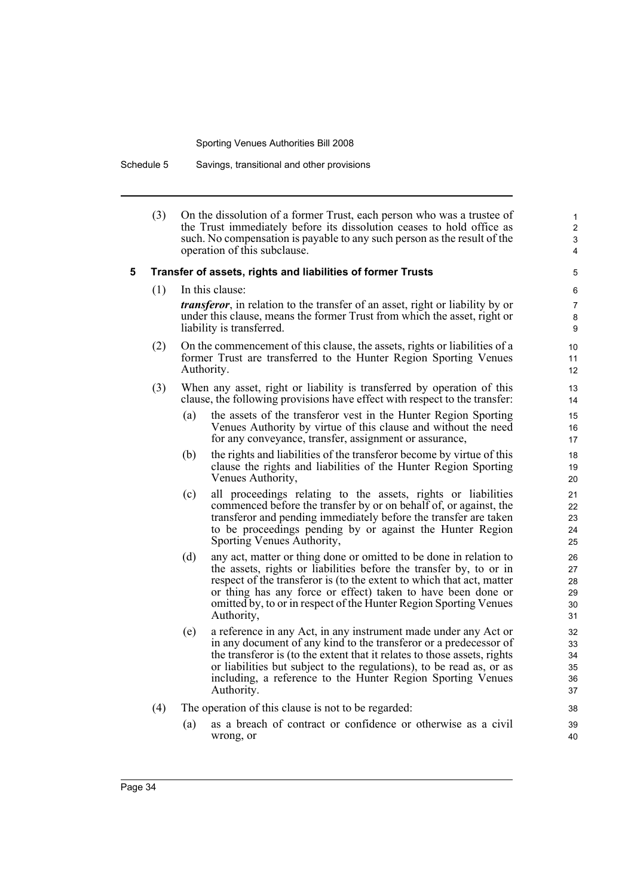Schedule 5 Savings, transitional and other provisions

(3) On the dissolution of a former Trust, each person who was a trustee of the Trust immediately before its dissolution ceases to hold office as such. No compensation is payable to any such person as the result of the operation of this subclause.

#### **5 Transfer of assets, rights and liabilities of former Trusts**

(1) In this clause:

*transferor*, in relation to the transfer of an asset, right or liability by or under this clause, means the former Trust from which the asset, right or liability is transferred.

- (2) On the commencement of this clause, the assets, rights or liabilities of a former Trust are transferred to the Hunter Region Sporting Venues Authority.
- (3) When any asset, right or liability is transferred by operation of this clause, the following provisions have effect with respect to the transfer:
	- (a) the assets of the transferor vest in the Hunter Region Sporting Venues Authority by virtue of this clause and without the need for any conveyance, transfer, assignment or assurance,
	- (b) the rights and liabilities of the transferor become by virtue of this clause the rights and liabilities of the Hunter Region Sporting Venues Authority,
	- (c) all proceedings relating to the assets, rights or liabilities commenced before the transfer by or on behalf of, or against, the transferor and pending immediately before the transfer are taken to be proceedings pending by or against the Hunter Region Sporting Venues Authority,
	- (d) any act, matter or thing done or omitted to be done in relation to the assets, rights or liabilities before the transfer by, to or in respect of the transferor is (to the extent to which that act, matter or thing has any force or effect) taken to have been done or omitted by, to or in respect of the Hunter Region Sporting Venues Authority,
	- (e) a reference in any Act, in any instrument made under any Act or in any document of any kind to the transferor or a predecessor of the transferor is (to the extent that it relates to those assets, rights or liabilities but subject to the regulations), to be read as, or as including, a reference to the Hunter Region Sporting Venues Authority.
- (4) The operation of this clause is not to be regarded:
	- (a) as a breach of contract or confidence or otherwise as a civil wrong, or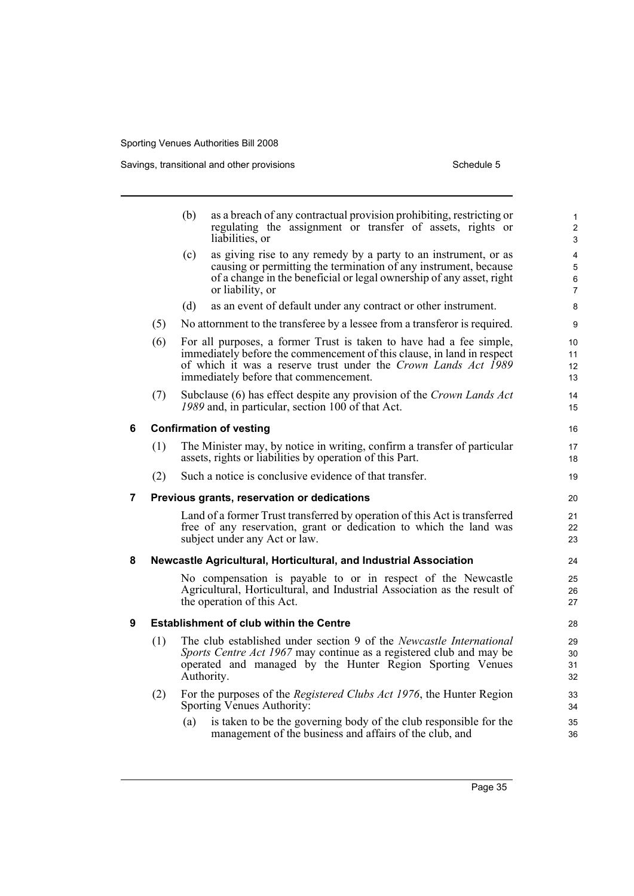|   |     | (b)                                  | as a breach of any contractual provision prohibiting, restricting or<br>regulating the assignment or transfer of assets, rights or<br>liabilities, or                                                                                                    | $\mathbf{1}$<br>$\overline{2}$<br>3 |  |  |  |
|---|-----|--------------------------------------|----------------------------------------------------------------------------------------------------------------------------------------------------------------------------------------------------------------------------------------------------------|-------------------------------------|--|--|--|
|   |     | (c)                                  | as giving rise to any remedy by a party to an instrument, or as<br>causing or permitting the termination of any instrument, because<br>of a change in the beneficial or legal ownership of any asset, right<br>or liability, or                          | 4<br>5<br>6<br>$\overline{7}$       |  |  |  |
|   |     | (d)                                  | as an event of default under any contract or other instrument.                                                                                                                                                                                           | 8                                   |  |  |  |
|   | (5) |                                      | No attornment to the transferee by a lessee from a transferor is required.                                                                                                                                                                               | 9                                   |  |  |  |
|   | (6) |                                      | For all purposes, a former Trust is taken to have had a fee simple,<br>immediately before the commencement of this clause, in land in respect<br>of which it was a reserve trust under the Crown Lands Act 1989<br>immediately before that commencement. | 10<br>11<br>12<br>13                |  |  |  |
|   | (7) |                                      | Subclause (6) has effect despite any provision of the Crown Lands Act<br>1989 and, in particular, section 100 of that Act.                                                                                                                               | 14<br>15                            |  |  |  |
| 6 |     | <b>Confirmation of vesting</b><br>16 |                                                                                                                                                                                                                                                          |                                     |  |  |  |
|   | (1) |                                      | The Minister may, by notice in writing, confirm a transfer of particular<br>assets, rights or liabilities by operation of this Part.                                                                                                                     | 17<br>18                            |  |  |  |
|   | (2) |                                      | Such a notice is conclusive evidence of that transfer.                                                                                                                                                                                                   | 19                                  |  |  |  |
| 7 |     |                                      | Previous grants, reservation or dedications                                                                                                                                                                                                              | 20                                  |  |  |  |
|   |     |                                      | Land of a former Trust transferred by operation of this Act is transferred<br>free of any reservation, grant or dedication to which the land was<br>subject under any Act or law.                                                                        | 21<br>22<br>23                      |  |  |  |
| 8 |     |                                      | Newcastle Agricultural, Horticultural, and Industrial Association                                                                                                                                                                                        | 24                                  |  |  |  |
|   |     |                                      | No compensation is payable to or in respect of the Newcastle<br>Agricultural, Horticultural, and Industrial Association as the result of<br>the operation of this Act.                                                                                   | 25<br>26<br>27                      |  |  |  |
| 9 |     |                                      | <b>Establishment of club within the Centre</b>                                                                                                                                                                                                           | 28                                  |  |  |  |
|   | (1) |                                      | The club established under section 9 of the Newcastle International<br>Sports Centre Act 1967 may continue as a registered club and may be<br>operated and managed by the Hunter Region Sporting Venues<br>Authority.                                    | 29<br>30<br>31<br>32                |  |  |  |
|   | (2) |                                      | For the purposes of the <i>Registered Clubs Act 1976</i> , the Hunter Region<br>Sporting Venues Authority:                                                                                                                                               | 33<br>34                            |  |  |  |
|   |     | (a)                                  | is taken to be the governing body of the club responsible for the<br>management of the business and affairs of the club, and                                                                                                                             | 35<br>36                            |  |  |  |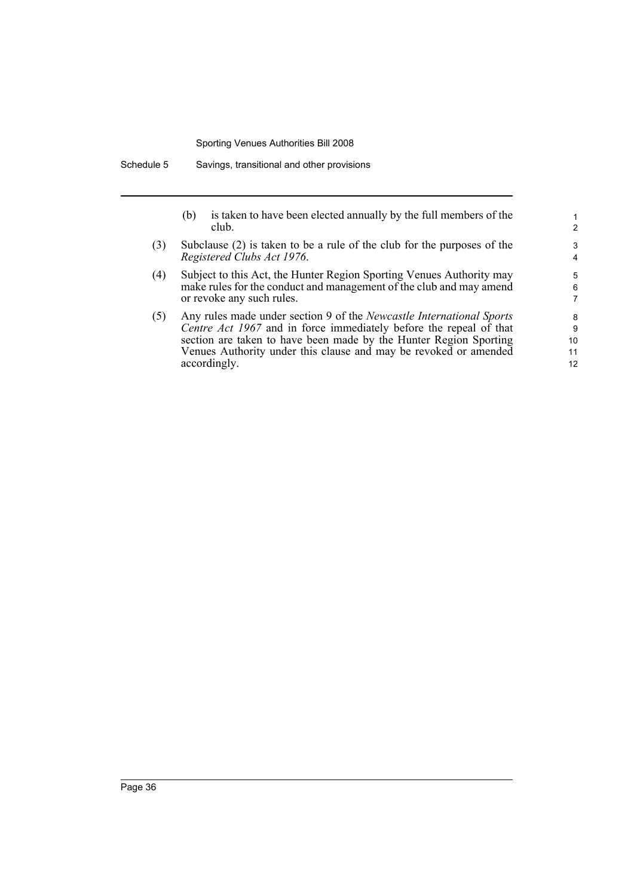Schedule 5 Savings, transitional and other provisions

- (b) is taken to have been elected annually by the full members of the club.
- (3) Subclause (2) is taken to be a rule of the club for the purposes of the *Registered Clubs Act 1976*.
- (4) Subject to this Act, the Hunter Region Sporting Venues Authority may make rules for the conduct and management of the club and may amend or revoke any such rules.
- (5) Any rules made under section 9 of the *Newcastle International Sports Centre Act 1967* and in force immediately before the repeal of that section are taken to have been made by the Hunter Region Sporting Venues Authority under this clause and may be revoked or amended accordingly.

12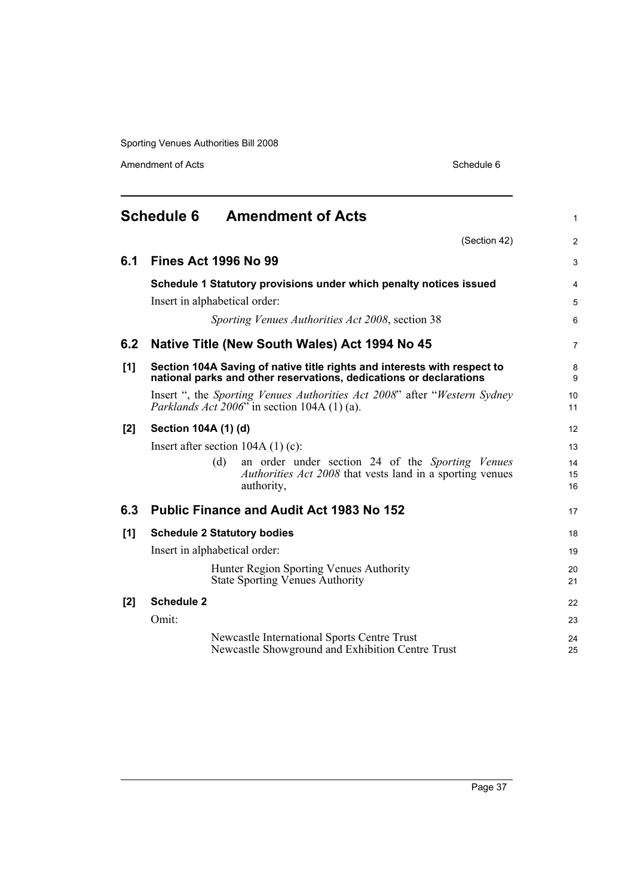Amendment of Acts Schedule 6

<span id="page-46-0"></span>

| <b>Schedule 6</b><br><b>Amendment of Acts</b> |                                                                                                                                                         |                |
|-----------------------------------------------|---------------------------------------------------------------------------------------------------------------------------------------------------------|----------------|
|                                               | (Section 42)                                                                                                                                            | $\overline{2}$ |
| 6.1                                           | <b>Fines Act 1996 No 99</b>                                                                                                                             | 3              |
|                                               | Schedule 1 Statutory provisions under which penalty notices issued<br>Insert in alphabetical order:<br>Sporting Venues Authorities Act 2008, section 38 | 4<br>5<br>6    |
| 6.2                                           | Native Title (New South Wales) Act 1994 No 45                                                                                                           | $\overline{7}$ |
| [1]                                           | Section 104A Saving of native title rights and interests with respect to<br>national parks and other reservations, dedications or declarations          | 8<br>9         |
|                                               | Insert ", the <i>Sporting Venues Authorities Act 2008</i> " after " <i>Western Sydney</i> "<br><i>Parklands Act</i> $2006$ " in section 104A (1) (a).   | 10<br>11       |
| [2]                                           | Section 104A (1) (d)                                                                                                                                    | 12             |
|                                               | Insert after section $104A(1)(c)$ :                                                                                                                     | 13             |
|                                               | (d)<br>an order under section 24 of the Sporting Venues<br><i>Authorities Act 2008</i> that vests land in a sporting venues<br>authority,               | 14<br>15<br>16 |
| 6.3                                           | <b>Public Finance and Audit Act 1983 No 152</b>                                                                                                         | 17             |
| [1]                                           | <b>Schedule 2 Statutory bodies</b>                                                                                                                      | 18             |
|                                               | Insert in alphabetical order:                                                                                                                           | 19             |
|                                               | Hunter Region Sporting Venues Authority<br><b>State Sporting Venues Authority</b>                                                                       | 20<br>21       |
| [2]                                           | <b>Schedule 2</b>                                                                                                                                       | 22             |
|                                               | Omit:                                                                                                                                                   | 23             |
|                                               | <b>Newcastle International Sports Centre Trust</b><br>Newcastle Showground and Exhibition Centre Trust                                                  | 24<br>25       |